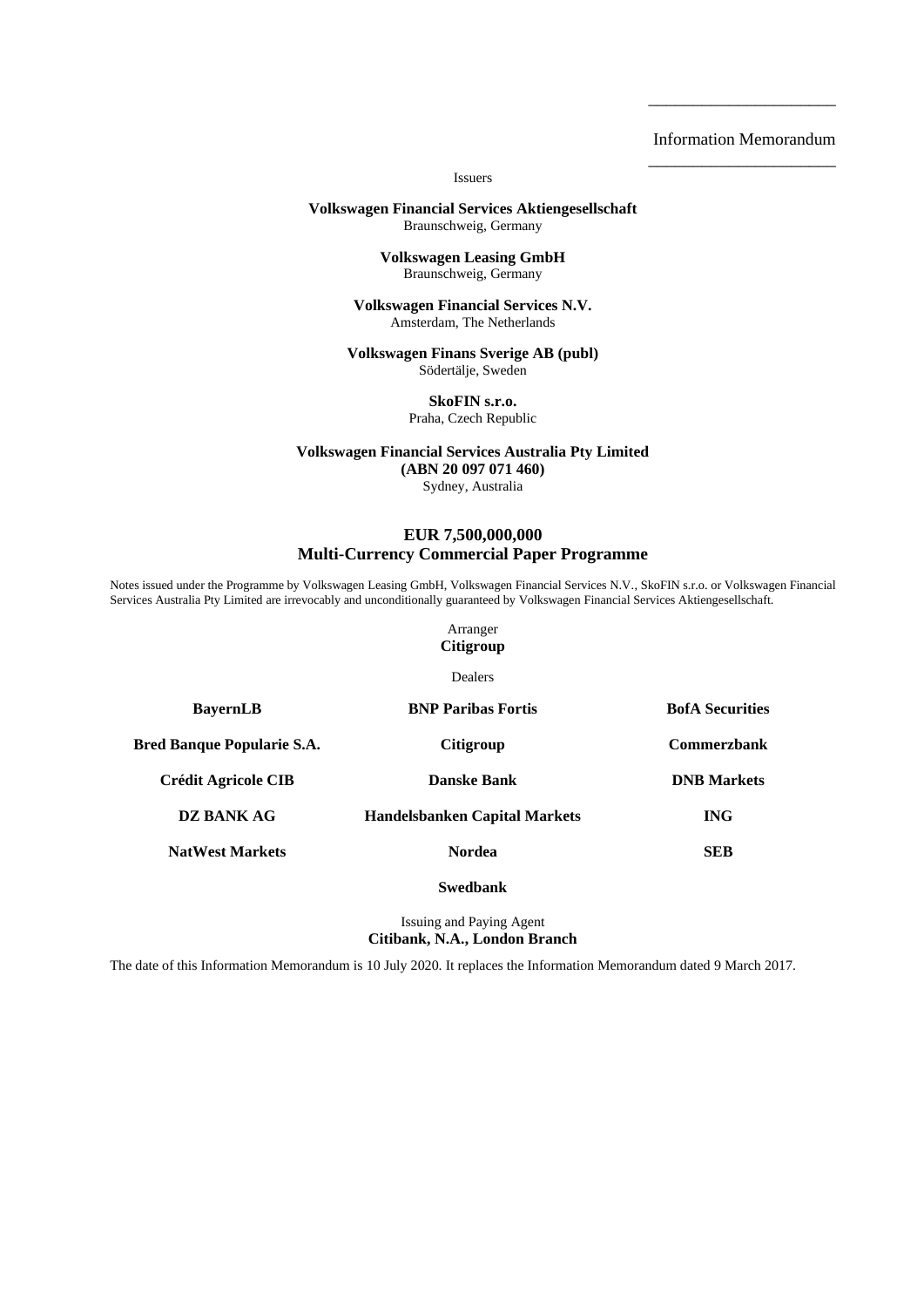### Information Memorandum \_\_\_\_\_\_\_\_\_\_\_\_\_\_\_\_\_\_\_\_\_

\_\_\_\_\_\_\_\_\_\_\_\_\_\_\_\_\_\_\_\_\_

Issuers

#### **Volkswagen Financial Services Aktiengesellschaft** Braunschweig, Germany

**Volkswagen Leasing GmbH** Braunschweig, Germany

**Volkswagen Financial Services N.V.** Amsterdam, The Netherlands

**Volkswagen Finans Sverige AB (publ)** Södertälje, Sweden

> **SkoFIN s.r.o.** Praha, Czech Republic

**Volkswagen Financial Services Australia Pty Limited (ABN 20 097 071 460)**

Sydney, Australia

### **EUR 7,500,000,000 Multi-Currency Commercial Paper Programme**

Notes issued under the Programme by Volkswagen Leasing GmbH, Volkswagen Financial Services N.V., SkoFIN s.r.o. or Volkswagen Financial Services Australia Pty Limited are irrevocably and unconditionally guaranteed by Volkswagen Financial Services Aktiengesellschaft.

> Arranger **Citigroup**

> > Dealers

| <b>BayernLB</b>                   | <b>BNP Paribas Fortis</b>            | <b>BofA</b> Securities |  |
|-----------------------------------|--------------------------------------|------------------------|--|
| <b>Bred Banque Popularie S.A.</b> | Citigroup                            | <b>Commerzbank</b>     |  |
| Crédit Agricole CIB               | Danske Bank                          | <b>DNB</b> Markets     |  |
| <b>DZ BANK AG</b>                 | <b>Handelsbanken Capital Markets</b> | <b>ING</b>             |  |
| <b>NatWest Markets</b>            | <b>Nordea</b>                        | <b>SEB</b>             |  |
|                                   |                                      |                        |  |

**Swedbank**

Issuing and Paying Agent **Citibank, N.A., London Branch**

The date of this Information Memorandum is 10 July 2020. It replaces the Information Memorandum dated 9 March 2017.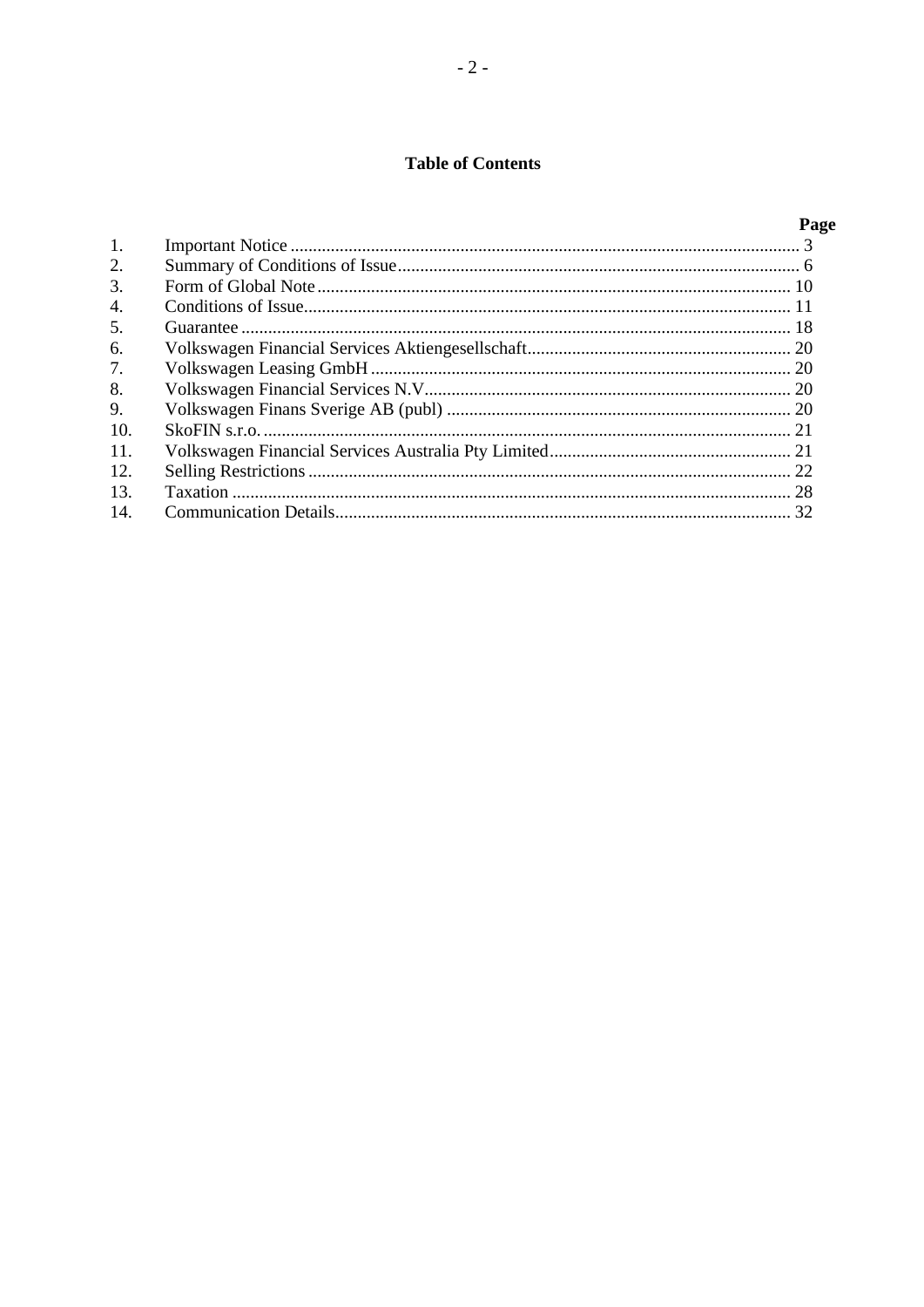## **Table of Contents**

# Page

| 1.  |  |
|-----|--|
| 2.  |  |
| 3.  |  |
| 4.  |  |
| 5.  |  |
| 6.  |  |
| 7.  |  |
| 8.  |  |
| 9.  |  |
| 10. |  |
| 11. |  |
| 12. |  |
| 13. |  |
| 14. |  |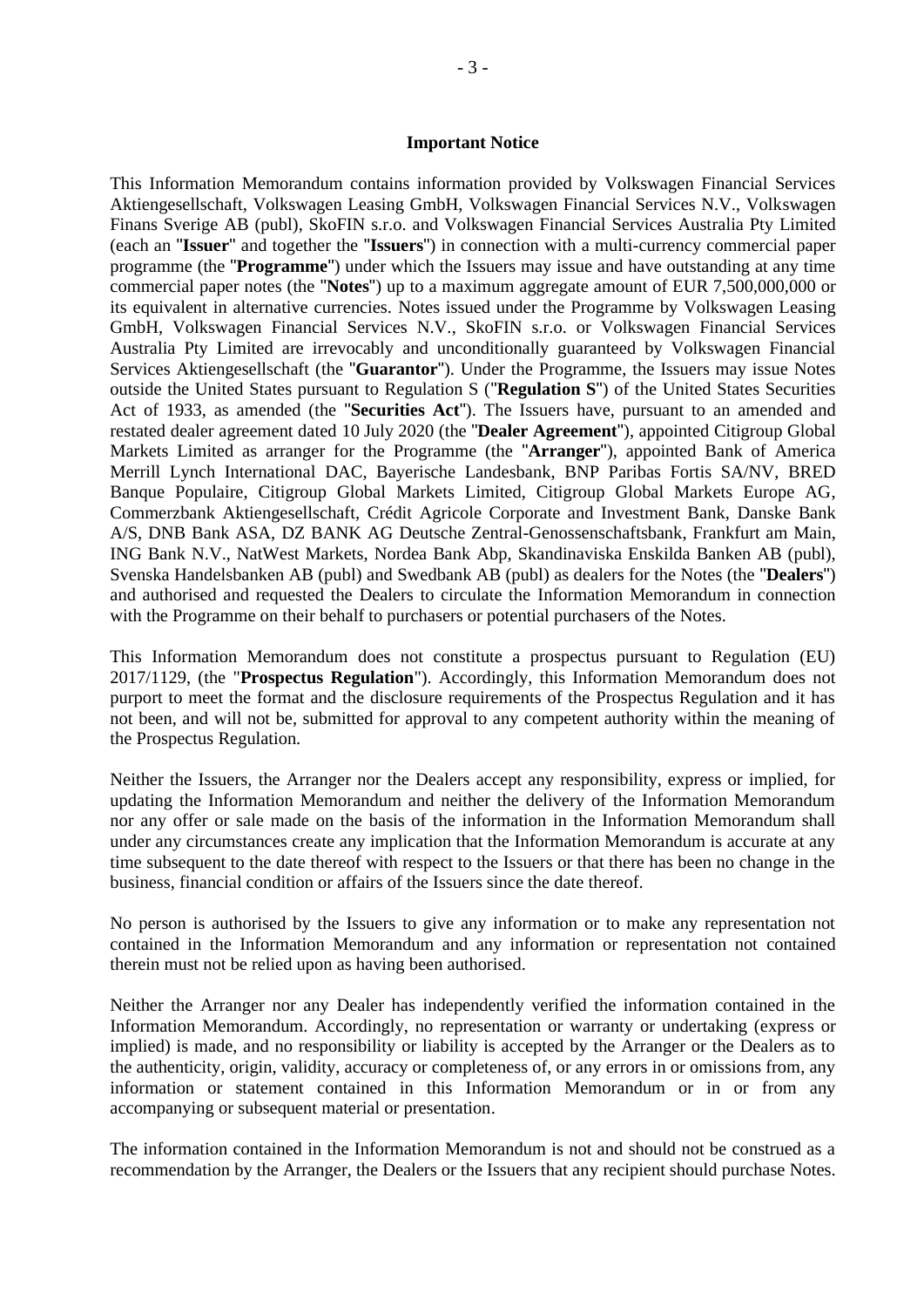### <span id="page-2-0"></span>**Important Notice**

This Information Memorandum contains information provided by Volkswagen Financial Services Aktiengesellschaft, Volkswagen Leasing GmbH, Volkswagen Financial Services N.V., Volkswagen Finans Sverige AB (publ), SkoFIN s.r.o. and Volkswagen Financial Services Australia Pty Limited (each an "**Issuer**" and together the "**Issuers**") in connection with a multi-currency commercial paper programme (the "**Programme**") under which the Issuers may issue and have outstanding at any time commercial paper notes (the "**Notes**") up to a maximum aggregate amount of EUR 7,500,000,000 or its equivalent in alternative currencies. Notes issued under the Programme by Volkswagen Leasing GmbH, Volkswagen Financial Services N.V., SkoFIN s.r.o. or Volkswagen Financial Services Australia Pty Limited are irrevocably and unconditionally guaranteed by Volkswagen Financial Services Aktiengesellschaft (the "**Guarantor**"). Under the Programme, the Issuers may issue Notes outside the United States pursuant to Regulation S ("Regulation S") of the United States Securities Act of 1933, as amended (the "**Securities Act**"). The Issuers have, pursuant to an amended and restated dealer agreement dated 10 July 2020 (the "**Dealer Agreement**"), appointed Citigroup Global Markets Limited as arranger for the Programme (the "**Arranger**"), appointed Bank of America Merrill Lynch International DAC, Bayerische Landesbank, BNP Paribas Fortis SA/NV, BRED Banque Populaire, Citigroup Global Markets Limited, Citigroup Global Markets Europe AG, Commerzbank Aktiengesellschaft, Crédit Agricole Corporate and Investment Bank, Danske Bank A/S, DNB Bank ASA, DZ BANK AG Deutsche Zentral-Genossenschaftsbank, Frankfurt am Main, ING Bank N.V., NatWest Markets, Nordea Bank Abp, Skandinaviska Enskilda Banken AB (publ), Svenska Handelsbanken AB (publ) and Swedbank AB (publ) as dealers for the Notes (the "**Dealers**") and authorised and requested the Dealers to circulate the Information Memorandum in connection with the Programme on their behalf to purchasers or potential purchasers of the Notes.

This Information Memorandum does not constitute a prospectus pursuant to Regulation (EU) 2017/1129, (the "**Prospectus Regulation**"). Accordingly, this Information Memorandum does not purport to meet the format and the disclosure requirements of the Prospectus Regulation and it has not been, and will not be, submitted for approval to any competent authority within the meaning of the Prospectus Regulation.

Neither the Issuers, the Arranger nor the Dealers accept any responsibility, express or implied, for updating the Information Memorandum and neither the delivery of the Information Memorandum nor any offer or sale made on the basis of the information in the Information Memorandum shall under any circumstances create any implication that the Information Memorandum is accurate at any time subsequent to the date thereof with respect to the Issuers or that there has been no change in the business, financial condition or affairs of the Issuers since the date thereof.

No person is authorised by the Issuers to give any information or to make any representation not contained in the Information Memorandum and any information or representation not contained therein must not be relied upon as having been authorised.

Neither the Arranger nor any Dealer has independently verified the information contained in the Information Memorandum. Accordingly, no representation or warranty or undertaking (express or implied) is made, and no responsibility or liability is accepted by the Arranger or the Dealers as to the authenticity, origin, validity, accuracy or completeness of, or any errors in or omissions from, any information or statement contained in this Information Memorandum or in or from any accompanying or subsequent material or presentation.

The information contained in the Information Memorandum is not and should not be construed as a recommendation by the Arranger, the Dealers or the Issuers that any recipient should purchase Notes.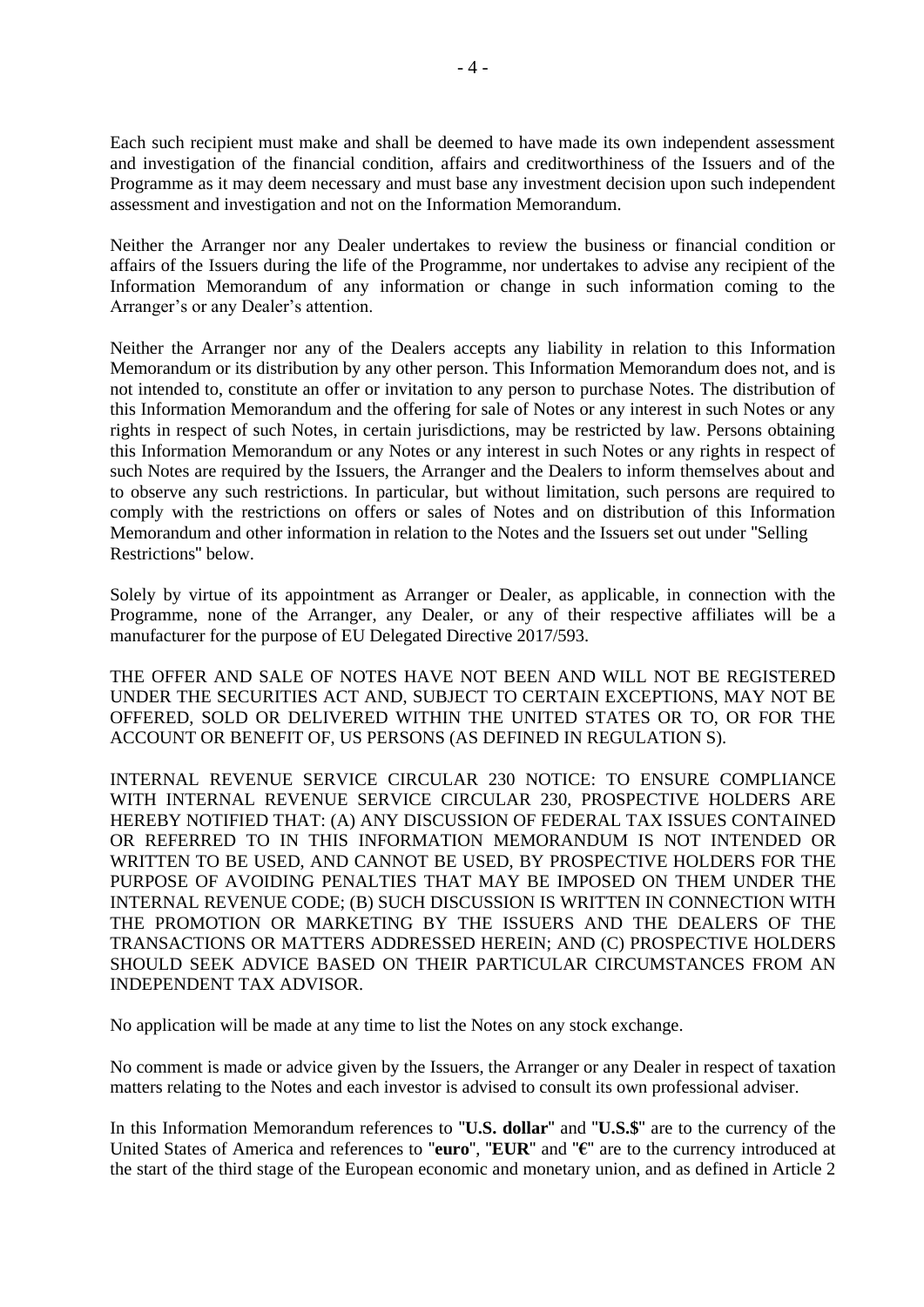Each such recipient must make and shall be deemed to have made its own independent assessment and investigation of the financial condition, affairs and creditworthiness of the Issuers and of the Programme as it may deem necessary and must base any investment decision upon such independent assessment and investigation and not on the Information Memorandum.

Neither the Arranger nor any Dealer undertakes to review the business or financial condition or affairs of the Issuers during the life of the Programme, nor undertakes to advise any recipient of the Information Memorandum of any information or change in such information coming to the Arranger's or any Dealer's attention.

Neither the Arranger nor any of the Dealers accepts any liability in relation to this Information Memorandum or its distribution by any other person. This Information Memorandum does not, and is not intended to, constitute an offer or invitation to any person to purchase Notes. The distribution of this Information Memorandum and the offering for sale of Notes or any interest in such Notes or any rights in respect of such Notes, in certain jurisdictions, may be restricted by law. Persons obtaining this Information Memorandum or any Notes or any interest in such Notes or any rights in respect of such Notes are required by the Issuers, the Arranger and the Dealers to inform themselves about and to observe any such restrictions. In particular, but without limitation, such persons are required to comply with the restrictions on offers or sales of Notes and on distribution of this Information Memorandum and other information in relation to the Notes and the Issuers set out under "Selling Restrictions" below.

Solely by virtue of its appointment as Arranger or Dealer, as applicable, in connection with the Programme, none of the Arranger, any Dealer, or any of their respective affiliates will be a manufacturer for the purpose of EU Delegated Directive 2017/593.

THE OFFER AND SALE OF NOTES HAVE NOT BEEN AND WILL NOT BE REGISTERED UNDER THE SECURITIES ACT AND, SUBJECT TO CERTAIN EXCEPTIONS, MAY NOT BE OFFERED, SOLD OR DELIVERED WITHIN THE UNITED STATES OR TO, OR FOR THE ACCOUNT OR BENEFIT OF, US PERSONS (AS DEFINED IN REGULATION S).

INTERNAL REVENUE SERVICE CIRCULAR 230 NOTICE: TO ENSURE COMPLIANCE WITH INTERNAL REVENUE SERVICE CIRCULAR 230, PROSPECTIVE HOLDERS ARE HEREBY NOTIFIED THAT: (A) ANY DISCUSSION OF FEDERAL TAX ISSUES CONTAINED OR REFERRED TO IN THIS INFORMATION MEMORANDUM IS NOT INTENDED OR WRITTEN TO BE USED, AND CANNOT BE USED, BY PROSPECTIVE HOLDERS FOR THE PURPOSE OF AVOIDING PENALTIES THAT MAY BE IMPOSED ON THEM UNDER THE INTERNAL REVENUE CODE; (B) SUCH DISCUSSION IS WRITTEN IN CONNECTION WITH THE PROMOTION OR MARKETING BY THE ISSUERS AND THE DEALERS OF THE TRANSACTIONS OR MATTERS ADDRESSED HEREIN; AND (C) PROSPECTIVE HOLDERS SHOULD SEEK ADVICE BASED ON THEIR PARTICULAR CIRCUMSTANCES FROM AN INDEPENDENT TAX ADVISOR.

No application will be made at any time to list the Notes on any stock exchange.

No comment is made or advice given by the Issuers, the Arranger or any Dealer in respect of taxation matters relating to the Notes and each investor is advised to consult its own professional adviser.

In this Information Memorandum references to "**U.S. dollar**" and "**U.S.\$**" are to the currency of the United States of America and references to "**euro**", "**EUR**" and "**€**" are to the currency introduced at the start of the third stage of the European economic and monetary union, and as defined in Article 2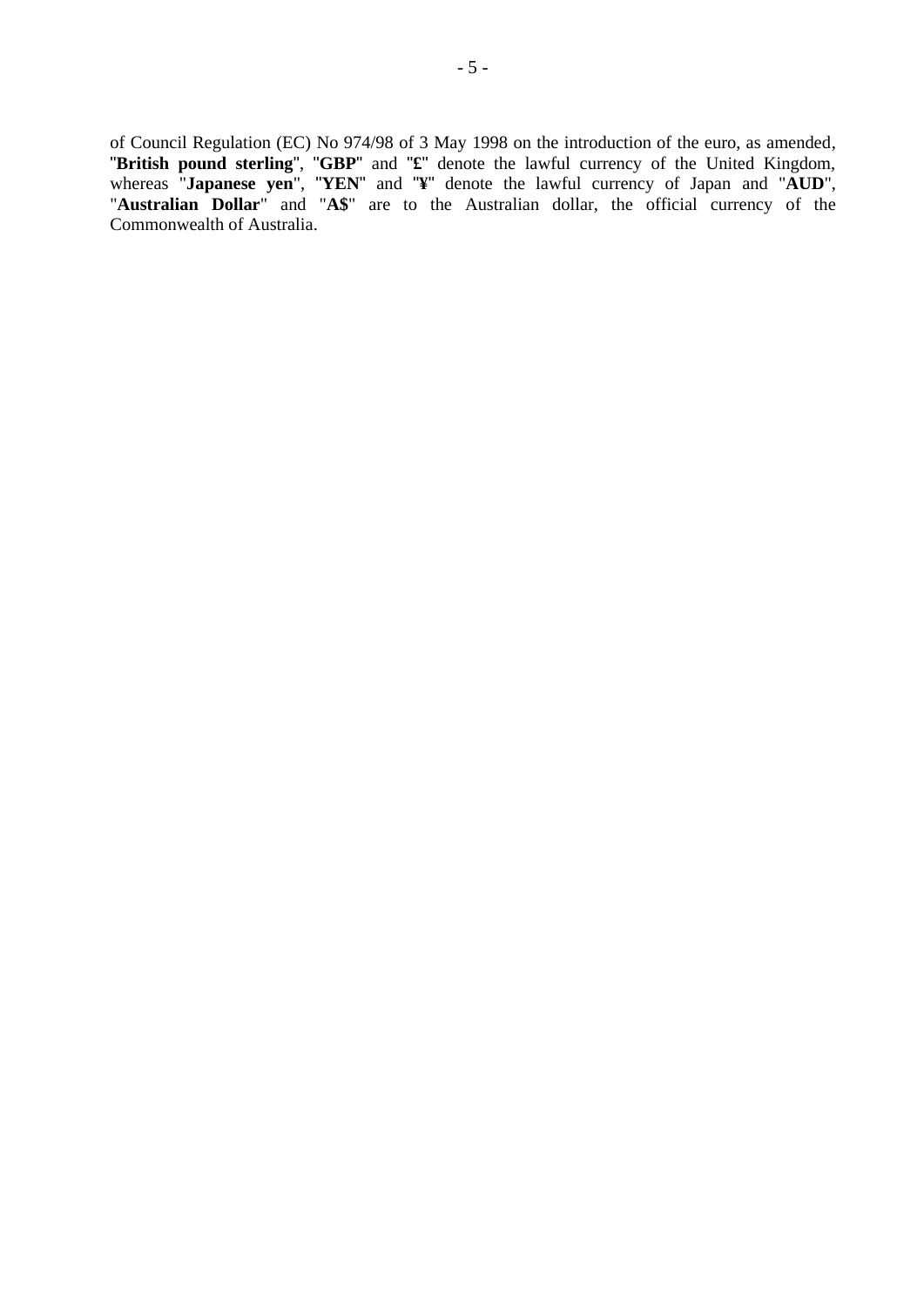of Council Regulation (EC) No 974/98 of 3 May 1998 on the introduction of the euro, as amended, "**British pound sterling**", "**GBP**" and "**£**" denote the lawful currency of the United Kingdom, whereas "**Japanese yen**", "**YEN**" and "**¥**" denote the lawful currency of Japan and "**AUD**", "**Australian Dollar**" and "**A\$**" are to the Australian dollar, the official currency of the Commonwealth of Australia.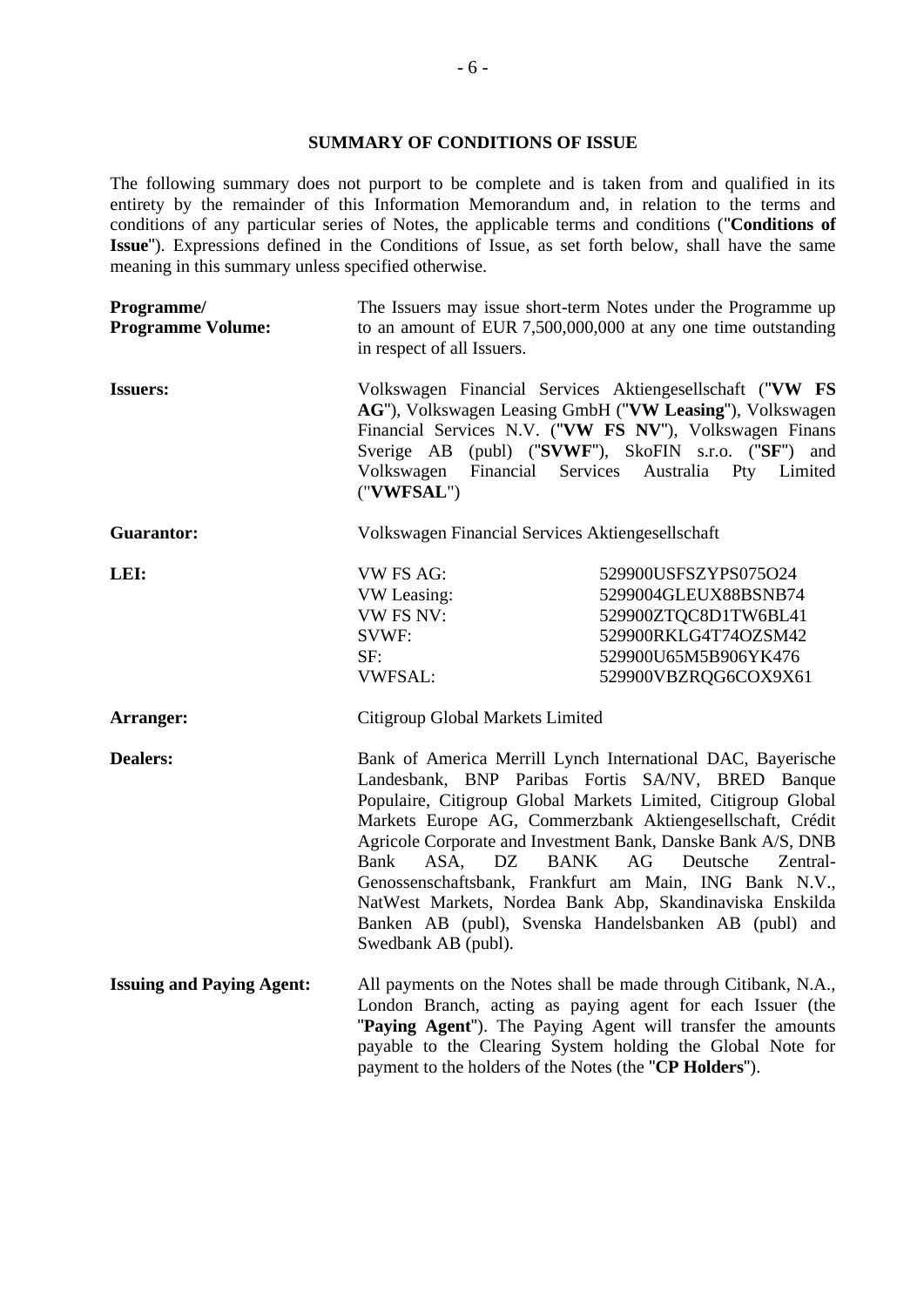### <span id="page-5-0"></span>**SUMMARY OF CONDITIONS OF ISSUE**

The following summary does not purport to be complete and is taken from and qualified in its entirety by the remainder of this Information Memorandum and, in relation to the terms and conditions of any particular series of Notes, the applicable terms and conditions ("**Conditions of Issue**"). Expressions defined in the Conditions of Issue, as set forth below, shall have the same meaning in this summary unless specified otherwise.

| Programme/<br><b>Programme Volume:</b> | The Issuers may issue short-term Notes under the Programme up<br>to an amount of EUR $7,500,000,000$ at any one time outstanding<br>in respect of all Issuers.                                                                                                                                                                                                                                                                                                                                                                                                                          |                                                                                                                                                                                                                                                                                                                       |  |
|----------------------------------------|-----------------------------------------------------------------------------------------------------------------------------------------------------------------------------------------------------------------------------------------------------------------------------------------------------------------------------------------------------------------------------------------------------------------------------------------------------------------------------------------------------------------------------------------------------------------------------------------|-----------------------------------------------------------------------------------------------------------------------------------------------------------------------------------------------------------------------------------------------------------------------------------------------------------------------|--|
| <b>Issuers:</b>                        | Volkswagen Financial Services Aktiengesellschaft ("VW FS<br>AG"), Volkswagen Leasing GmbH ("VW Leasing"), Volkswagen<br>Financial Services N.V. ("VW FS NV"), Volkswagen Finans<br>Sverige AB (publ) ("SVWF"), SkoFIN s.r.o. ("SF") and<br>Volkswagen<br>Financial Services Australia<br>Pty Limited<br>("VWFSAL")                                                                                                                                                                                                                                                                      |                                                                                                                                                                                                                                                                                                                       |  |
| <b>Guarantor:</b>                      |                                                                                                                                                                                                                                                                                                                                                                                                                                                                                                                                                                                         | Volkswagen Financial Services Aktiengesellschaft                                                                                                                                                                                                                                                                      |  |
| LEI:                                   | <b>VW FS AG:</b><br>VW Leasing:<br><b>VW FS NV:</b><br>SVWF:<br>SF:<br><b>VWFSAL:</b>                                                                                                                                                                                                                                                                                                                                                                                                                                                                                                   | 529900USFSZYPS075O24<br>5299004GLEUX88BSNB74<br>529900ZTQC8D1TW6BL41<br>529900RKLG4T74OZSM42<br>529900U65M5B906YK476<br>529900VBZRQG6COX9X61                                                                                                                                                                          |  |
| Arranger:                              | Citigroup Global Markets Limited                                                                                                                                                                                                                                                                                                                                                                                                                                                                                                                                                        |                                                                                                                                                                                                                                                                                                                       |  |
| <b>Dealers:</b>                        | Bank of America Merrill Lynch International DAC, Bayerische<br>Landesbank, BNP Paribas Fortis SA/NV, BRED Banque<br>Populaire, Citigroup Global Markets Limited, Citigroup Global<br>Markets Europe AG, Commerzbank Aktiengesellschaft, Crédit<br>Agricole Corporate and Investment Bank, Danske Bank A/S, DNB<br>Bank<br>ASA.<br><b>BANK</b><br>AG<br>Deutsche<br>DZ<br>Zentral-<br>Genossenschaftsbank, Frankfurt am Main, ING Bank N.V.,<br>NatWest Markets, Nordea Bank Abp, Skandinaviska Enskilda<br>Banken AB (publ), Svenska Handelsbanken AB (publ) and<br>Swedbank AB (publ). |                                                                                                                                                                                                                                                                                                                       |  |
| <b>Issuing and Paying Agent:</b>       |                                                                                                                                                                                                                                                                                                                                                                                                                                                                                                                                                                                         | All payments on the Notes shall be made through Citibank, N.A.,<br>London Branch, acting as paying agent for each Issuer (the<br>"Paying Agent"). The Paying Agent will transfer the amounts<br>payable to the Clearing System holding the Global Note for<br>payment to the holders of the Notes (the "CP Holders"). |  |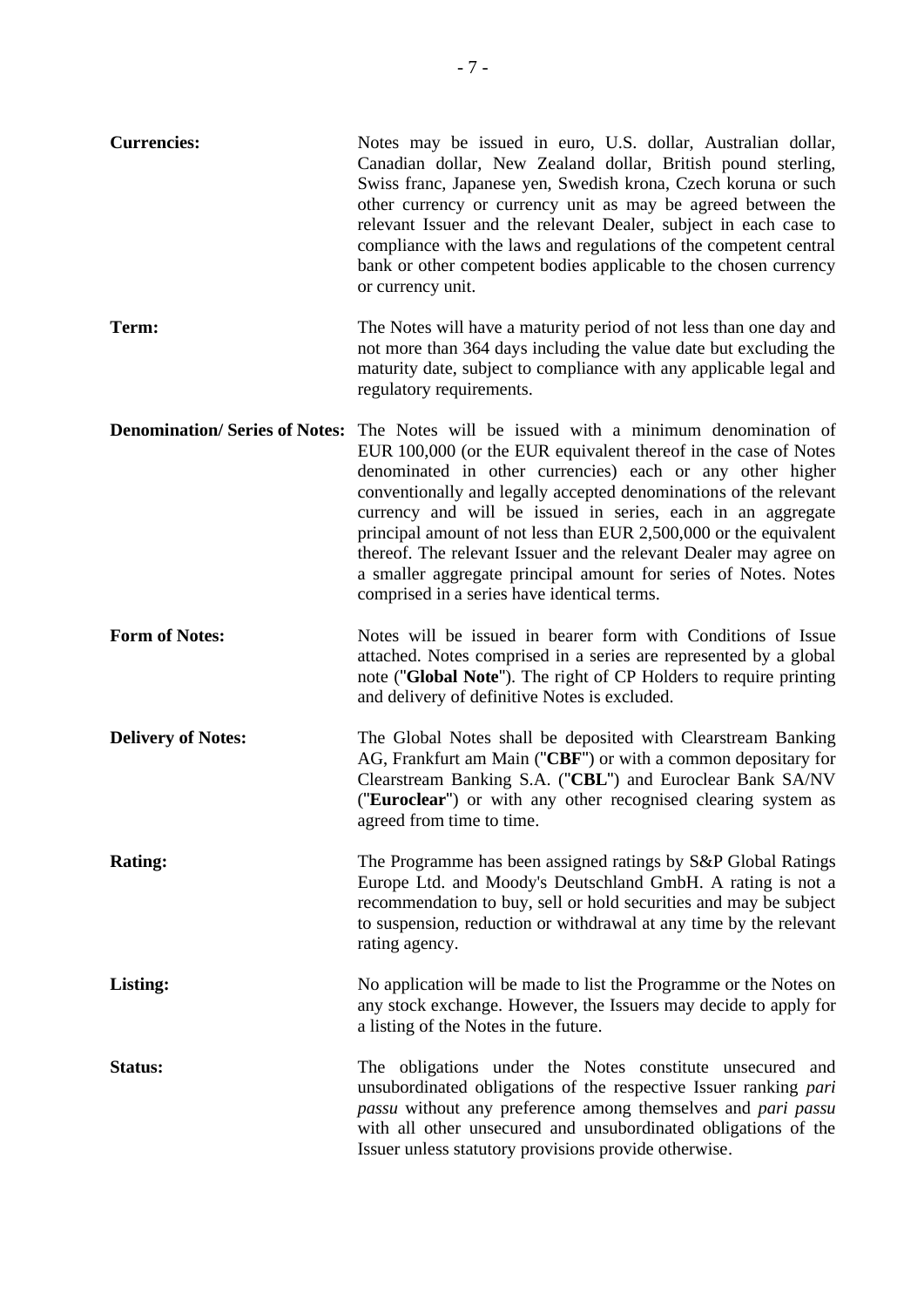| <b>Currencies:</b>                   | Notes may be issued in euro, U.S. dollar, Australian dollar,<br>Canadian dollar, New Zealand dollar, British pound sterling,<br>Swiss franc, Japanese yen, Swedish krona, Czech koruna or such<br>other currency or currency unit as may be agreed between the<br>relevant Issuer and the relevant Dealer, subject in each case to<br>compliance with the laws and regulations of the competent central<br>bank or other competent bodies applicable to the chosen currency<br>or currency unit.                                                                                        |
|--------------------------------------|-----------------------------------------------------------------------------------------------------------------------------------------------------------------------------------------------------------------------------------------------------------------------------------------------------------------------------------------------------------------------------------------------------------------------------------------------------------------------------------------------------------------------------------------------------------------------------------------|
| Term:                                | The Notes will have a maturity period of not less than one day and<br>not more than 364 days including the value date but excluding the<br>maturity date, subject to compliance with any applicable legal and<br>regulatory requirements.                                                                                                                                                                                                                                                                                                                                               |
| <b>Denomination/Series of Notes:</b> | The Notes will be issued with a minimum denomination of<br>EUR 100,000 (or the EUR equivalent thereof in the case of Notes<br>denominated in other currencies) each or any other higher<br>conventionally and legally accepted denominations of the relevant<br>currency and will be issued in series, each in an aggregate<br>principal amount of not less than EUR 2,500,000 or the equivalent<br>thereof. The relevant Issuer and the relevant Dealer may agree on<br>a smaller aggregate principal amount for series of Notes. Notes<br>comprised in a series have identical terms. |
| <b>Form of Notes:</b>                | Notes will be issued in bearer form with Conditions of Issue<br>attached. Notes comprised in a series are represented by a global<br>note ("Global Note"). The right of CP Holders to require printing<br>and delivery of definitive Notes is excluded.                                                                                                                                                                                                                                                                                                                                 |
| <b>Delivery of Notes:</b>            | The Global Notes shall be deposited with Clearstream Banking<br>AG, Frankfurt am Main ("CBF") or with a common depositary for<br>Clearstream Banking S.A. ("CBL") and Euroclear Bank SA/NV<br>("Euroclear") or with any other recognised clearing system as<br>agreed from time to time.                                                                                                                                                                                                                                                                                                |
| <b>Rating:</b>                       | The Programme has been assigned ratings by S&P Global Ratings<br>Europe Ltd. and Moody's Deutschland GmbH. A rating is not a<br>recommendation to buy, sell or hold securities and may be subject<br>to suspension, reduction or withdrawal at any time by the relevant<br>rating agency.                                                                                                                                                                                                                                                                                               |
| <b>Listing:</b>                      | No application will be made to list the Programme or the Notes on<br>any stock exchange. However, the Issuers may decide to apply for<br>a listing of the Notes in the future.                                                                                                                                                                                                                                                                                                                                                                                                          |
| Status:                              | The obligations under the Notes constitute unsecured and<br>unsubordinated obligations of the respective Issuer ranking pari<br>passu without any preference among themselves and pari passu<br>with all other unsecured and unsubordinated obligations of the<br>Issuer unless statutory provisions provide otherwise.                                                                                                                                                                                                                                                                 |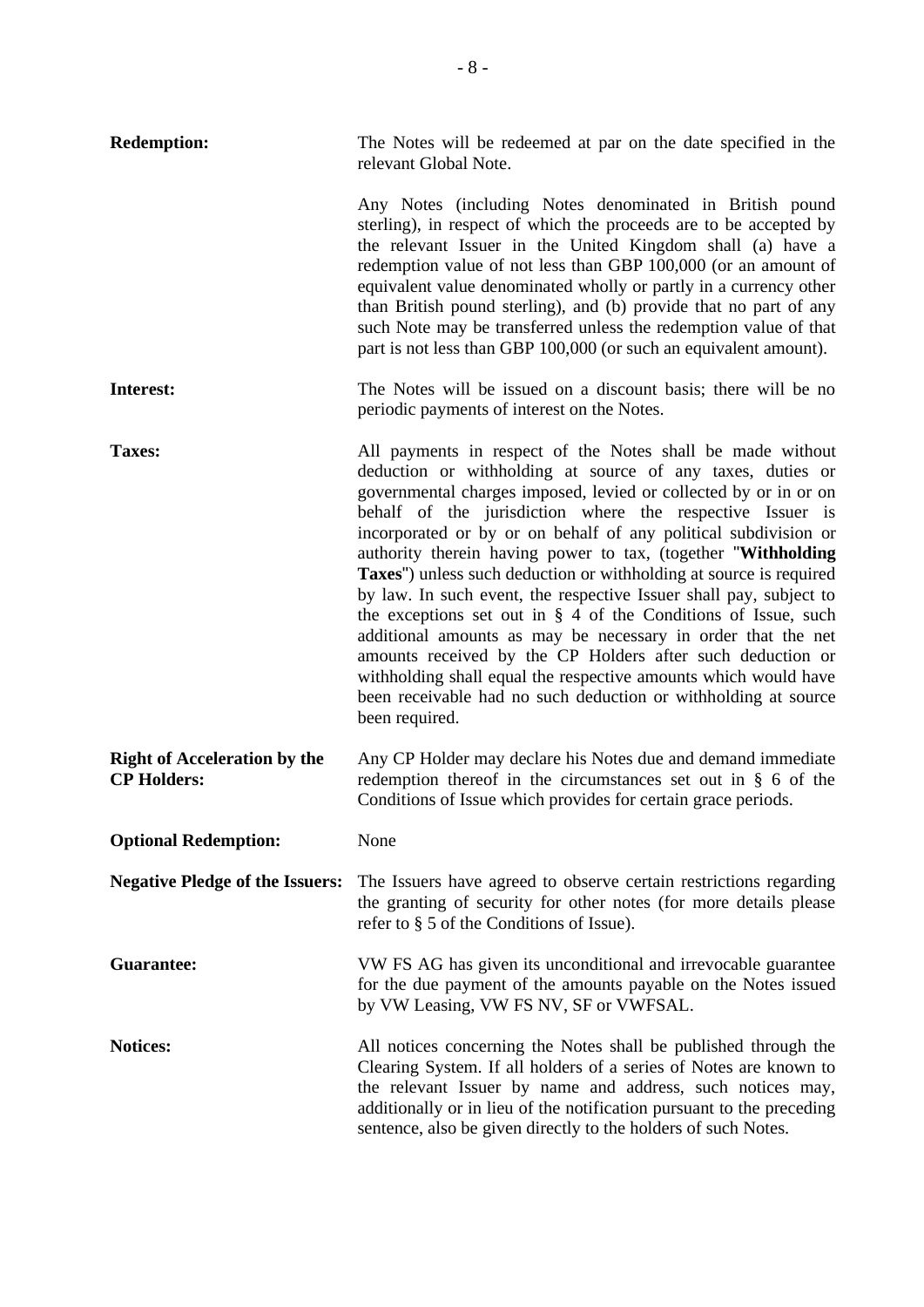| <b>Redemption:</b>                                        | The Notes will be redeemed at par on the date specified in the<br>relevant Global Note.                                                                                                                                                                                                                                                                                                                                                                                                                                                                                                                                                                                                                                                                                                                                                                                                             |  |
|-----------------------------------------------------------|-----------------------------------------------------------------------------------------------------------------------------------------------------------------------------------------------------------------------------------------------------------------------------------------------------------------------------------------------------------------------------------------------------------------------------------------------------------------------------------------------------------------------------------------------------------------------------------------------------------------------------------------------------------------------------------------------------------------------------------------------------------------------------------------------------------------------------------------------------------------------------------------------------|--|
|                                                           | Any Notes (including Notes denominated in British pound<br>sterling), in respect of which the proceeds are to be accepted by<br>the relevant Issuer in the United Kingdom shall (a) have a<br>redemption value of not less than GBP 100,000 (or an amount of<br>equivalent value denominated wholly or partly in a currency other<br>than British pound sterling), and (b) provide that no part of any<br>such Note may be transferred unless the redemption value of that<br>part is not less than GBP 100,000 (or such an equivalent amount).                                                                                                                                                                                                                                                                                                                                                     |  |
| Interest:                                                 | The Notes will be issued on a discount basis; there will be no<br>periodic payments of interest on the Notes.                                                                                                                                                                                                                                                                                                                                                                                                                                                                                                                                                                                                                                                                                                                                                                                       |  |
| Taxes:                                                    | All payments in respect of the Notes shall be made without<br>deduction or withholding at source of any taxes, duties or<br>governmental charges imposed, levied or collected by or in or on<br>behalf of the jurisdiction where the respective Issuer is<br>incorporated or by or on behalf of any political subdivision or<br>authority therein having power to tax, (together "Withholding<br>Taxes") unless such deduction or withholding at source is required<br>by law. In such event, the respective Issuer shall pay, subject to<br>the exceptions set out in $\S$ 4 of the Conditions of Issue, such<br>additional amounts as may be necessary in order that the net<br>amounts received by the CP Holders after such deduction or<br>withholding shall equal the respective amounts which would have<br>been receivable had no such deduction or withholding at source<br>been required. |  |
| <b>Right of Acceleration by the</b><br><b>CP Holders:</b> | Any CP Holder may declare his Notes due and demand immediate<br>redemption thereof in the circumstances set out in $\S$ 6 of the<br>Conditions of Issue which provides for certain grace periods.                                                                                                                                                                                                                                                                                                                                                                                                                                                                                                                                                                                                                                                                                                   |  |
| <b>Optional Redemption:</b>                               | None                                                                                                                                                                                                                                                                                                                                                                                                                                                                                                                                                                                                                                                                                                                                                                                                                                                                                                |  |
| <b>Negative Pledge of the Issuers:</b>                    | The Issuers have agreed to observe certain restrictions regarding<br>the granting of security for other notes (for more details please<br>refer to $\S$ 5 of the Conditions of Issue).                                                                                                                                                                                                                                                                                                                                                                                                                                                                                                                                                                                                                                                                                                              |  |
| <b>Guarantee:</b>                                         | VW FS AG has given its unconditional and irrevocable guarantee<br>for the due payment of the amounts payable on the Notes issued<br>by VW Leasing, VW FS NV, SF or VWFSAL.                                                                                                                                                                                                                                                                                                                                                                                                                                                                                                                                                                                                                                                                                                                          |  |
| Notices:                                                  | All notices concerning the Notes shall be published through the<br>Clearing System. If all holders of a series of Notes are known to<br>the relevant Issuer by name and address, such notices may,<br>additionally or in lieu of the notification pursuant to the preceding<br>sentence, also be given directly to the holders of such Notes.                                                                                                                                                                                                                                                                                                                                                                                                                                                                                                                                                       |  |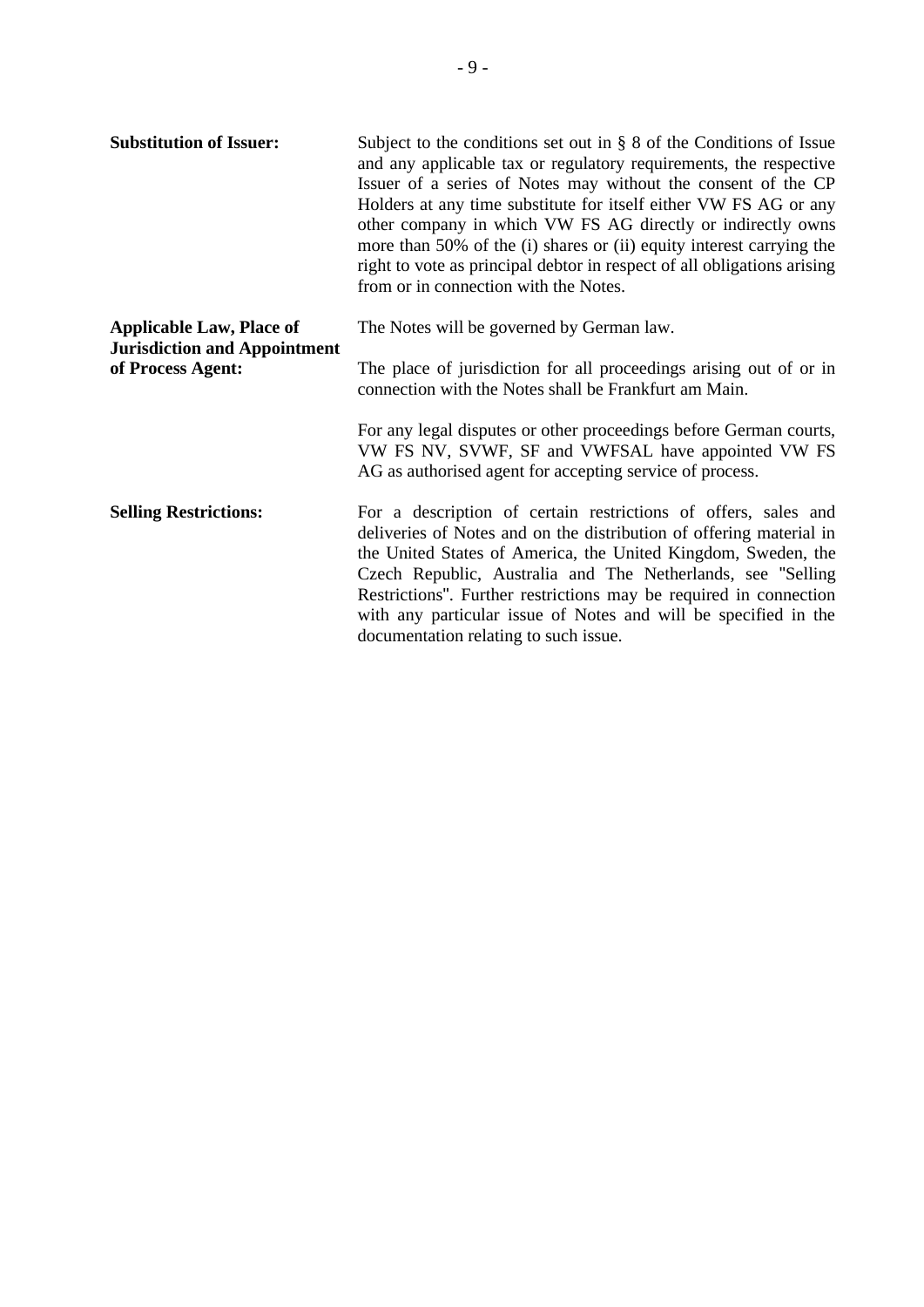| <b>Substitution of Issuer:</b>                                                              | Subject to the conditions set out in $\S$ 8 of the Conditions of Issue<br>and any applicable tax or regulatory requirements, the respective<br>Issuer of a series of Notes may without the consent of the CP<br>Holders at any time substitute for itself either VW FS AG or any<br>other company in which VW FS AG directly or indirectly owns<br>more than 50% of the (i) shares or (ii) equity interest carrying the<br>right to vote as principal debtor in respect of all obligations arising<br>from or in connection with the Notes. |
|---------------------------------------------------------------------------------------------|---------------------------------------------------------------------------------------------------------------------------------------------------------------------------------------------------------------------------------------------------------------------------------------------------------------------------------------------------------------------------------------------------------------------------------------------------------------------------------------------------------------------------------------------|
| <b>Applicable Law, Place of</b><br><b>Jurisdiction and Appointment</b><br>of Process Agent: | The Notes will be governed by German law.                                                                                                                                                                                                                                                                                                                                                                                                                                                                                                   |
|                                                                                             | The place of jurisdiction for all proceedings arising out of or in<br>connection with the Notes shall be Frankfurt am Main.                                                                                                                                                                                                                                                                                                                                                                                                                 |
|                                                                                             | For any legal disputes or other proceedings before German courts,<br>VW FS NV, SVWF, SF and VWFSAL have appointed VW FS<br>AG as authorised agent for accepting service of process.                                                                                                                                                                                                                                                                                                                                                         |
| <b>Selling Restrictions:</b>                                                                | For a description of certain restrictions of offers, sales and<br>deliveries of Notes and on the distribution of offering material in<br>the United States of America, the United Kingdom, Sweden, the<br>Czech Republic, Australia and The Netherlands, see "Selling<br>Restrictions". Further restrictions may be required in connection<br>with any particular issue of Notes and will be specified in the<br>documentation relating to such issue.                                                                                      |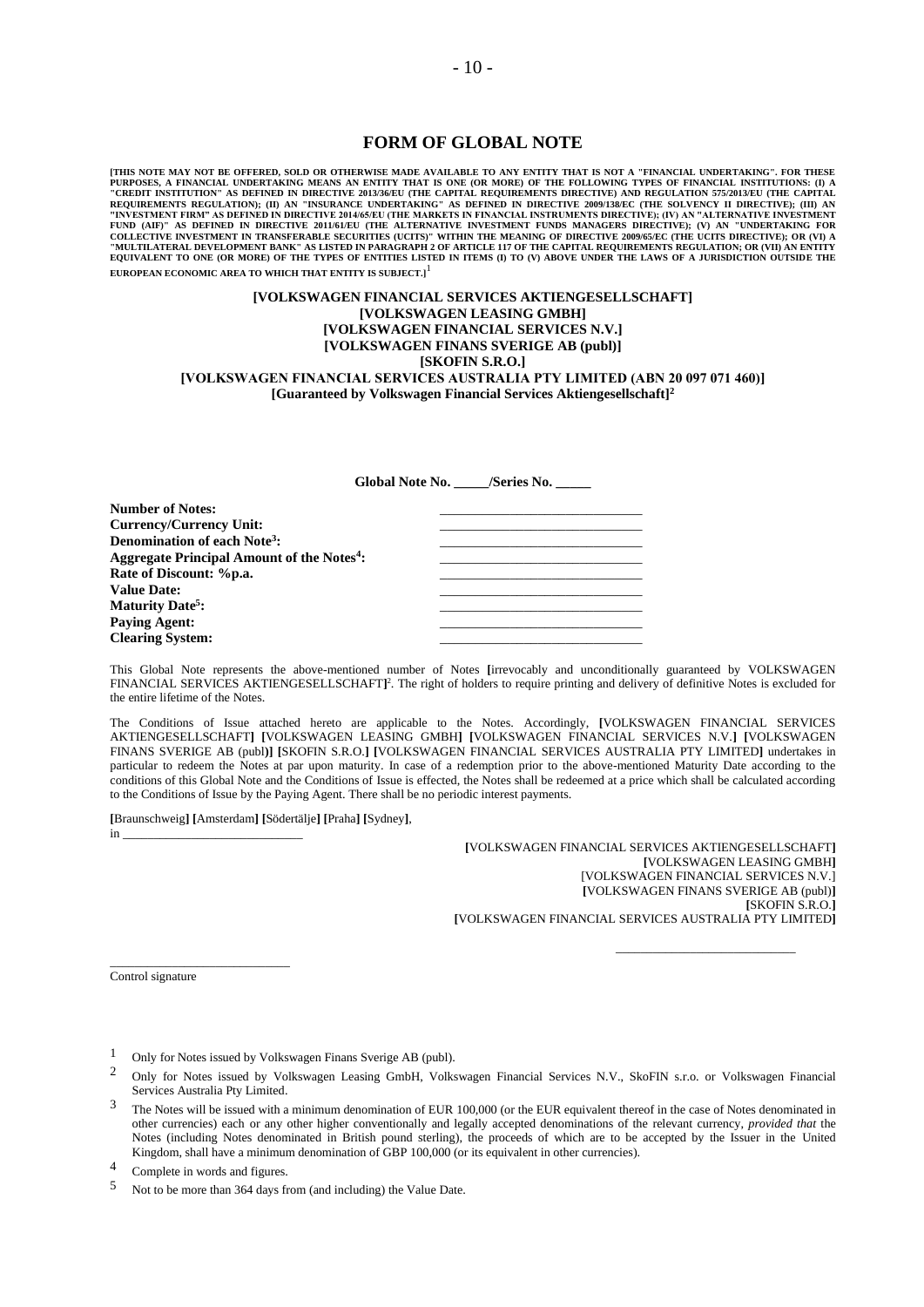#### <span id="page-9-0"></span>**FORM OF GLOBAL NOTE**

[THIS NOTE MAY NOT BE OFFERED, SOLD OR OTHERWISE MADE AVAILABLE TO ANY ENTITY THAT IS NOT A "FINANCIAL UNDERTAKING". FOR THESE OF FINANCIAL UNDERTAKING". FOR THE SULTING THE SULTING THE SULTING THE SULTING THE CAPITAL THAT **EUROPEAN ECONOMIC AREA TO WHICH THAT ENTITY IS SUBJECT.]** 1

#### **[VOLKSWAGEN FINANCIAL SERVICES AKTIENGESELLSCHAFT] [VOLKSWAGEN LEASING GMBH] [VOLKSWAGEN FINANCIAL SERVICES N.V.] [VOLKSWAGEN FINANS SVERIGE AB (publ)] [SKOFIN S.R.O.] [VOLKSWAGEN FINANCIAL SERVICES AUSTRALIA PTY LIMITED (ABN 20 097 071 460)] [Guaranteed by Volkswagen Financial Services Aktiengesellschaft]<sup>2</sup>**

<span id="page-9-1"></span>**Global Note No. \_\_\_\_\_/Series No. \_\_\_\_\_**

| <b>Number of Notes:</b>                                |  |
|--------------------------------------------------------|--|
| Currency/Currency Unit:                                |  |
| <b>Denomination of each Note<sup>3</sup>:</b>          |  |
| Aggregate Principal Amount of the Notes <sup>4</sup> : |  |
| Rate of Discount: %p.a.                                |  |
| <b>Value Date:</b>                                     |  |
| <b>Maturity Date<sup>5</sup>:</b>                      |  |
| <b>Paying Agent:</b>                                   |  |
| <b>Clearing System:</b>                                |  |
|                                                        |  |

This Global Note represents the above-mentioned number of Notes **[**irrevocably and unconditionally guaranteed by VOLKSWAGEN FINANCIAL SERVICES AKTIENGESELLSCHAFT[\]](#page-9-1)<sup>2</sup>. The right of holders to require printing and delivery of definitive Notes is excluded for the entire lifetime of the Notes.

The Conditions of Issue attached hereto are applicable to the Notes. Accordingly, **[**VOLKSWAGEN FINANCIAL SERVICES AKTIENGESELLSCHAFT**] [**VOLKSWAGEN LEASING GMBH**] [**VOLKSWAGEN FINANCIAL SERVICES N.V.**] [**VOLKSWAGEN FINANS SVERIGE AB (publ**)] [**SKOFIN S.R.O.**] [**VOLKSWAGEN FINANCIAL SERVICES AUSTRALIA PTY LIMITED**]** undertakes in particular to redeem the Notes at par upon maturity. In case of a redemption prior to the above-mentioned Maturity Date according to the conditions of this Global Note and the Conditions of Issue is effected, the Notes shall be redeemed at a price which shall be calculated according to the Conditions of Issue by the Paying Agent. There shall be no periodic interest payments.

**[**Braunschweig**] [**Amsterdam**] [**Södertälje**] [**Praha**] [**Sydney**]**,

in \_\_\_\_\_\_\_\_\_\_\_\_\_\_\_\_\_\_\_\_\_\_\_\_\_\_\_\_\_

\_\_\_\_\_\_\_\_\_\_\_\_\_\_\_\_\_\_\_\_\_\_\_\_\_\_\_\_\_

**[**VOLKSWAGEN FINANCIAL SERVICES AKTIENGESELLSCHAFT**] [**VOLKSWAGEN LEASING GMBH**]** [VOLKSWAGEN FINANCIAL SERVICES N.V.] **[**VOLKSWAGEN FINANS SVERIGE AB (publ)**] [**SKOFIN S.R.O.**] [**VOLKSWAGEN FINANCIAL SERVICES AUSTRALIA PTY LIMITED**]**

\_\_\_\_\_\_\_\_\_\_\_\_\_\_\_\_\_\_\_\_\_\_\_\_\_\_\_\_\_

Control signature

- 1 Only for Notes issued by Volkswagen Finans Sverige AB (publ).
- 2 Only for Notes issued by Volkswagen Leasing GmbH, Volkswagen Financial Services N.V., SkoFIN s.r.o. or Volkswagen Financial Services Australia Pty Limited.
- 3 The Notes will be issued with a minimum denomination of EUR 100,000 (or the EUR equivalent thereof in the case of Notes denominated in other currencies) each or any other higher conventionally and legally accepted denominations of the relevant currency, *provided that* the Notes (including Notes denominated in British pound sterling), the proceeds of which are to be accepted by the Issuer in the United Kingdom, shall have a minimum denomination of GBP 100,000 (or its equivalent in other currencies).
- 4 Complete in words and figures.
- 5 Not to be more than 364 days from (and including) the Value Date.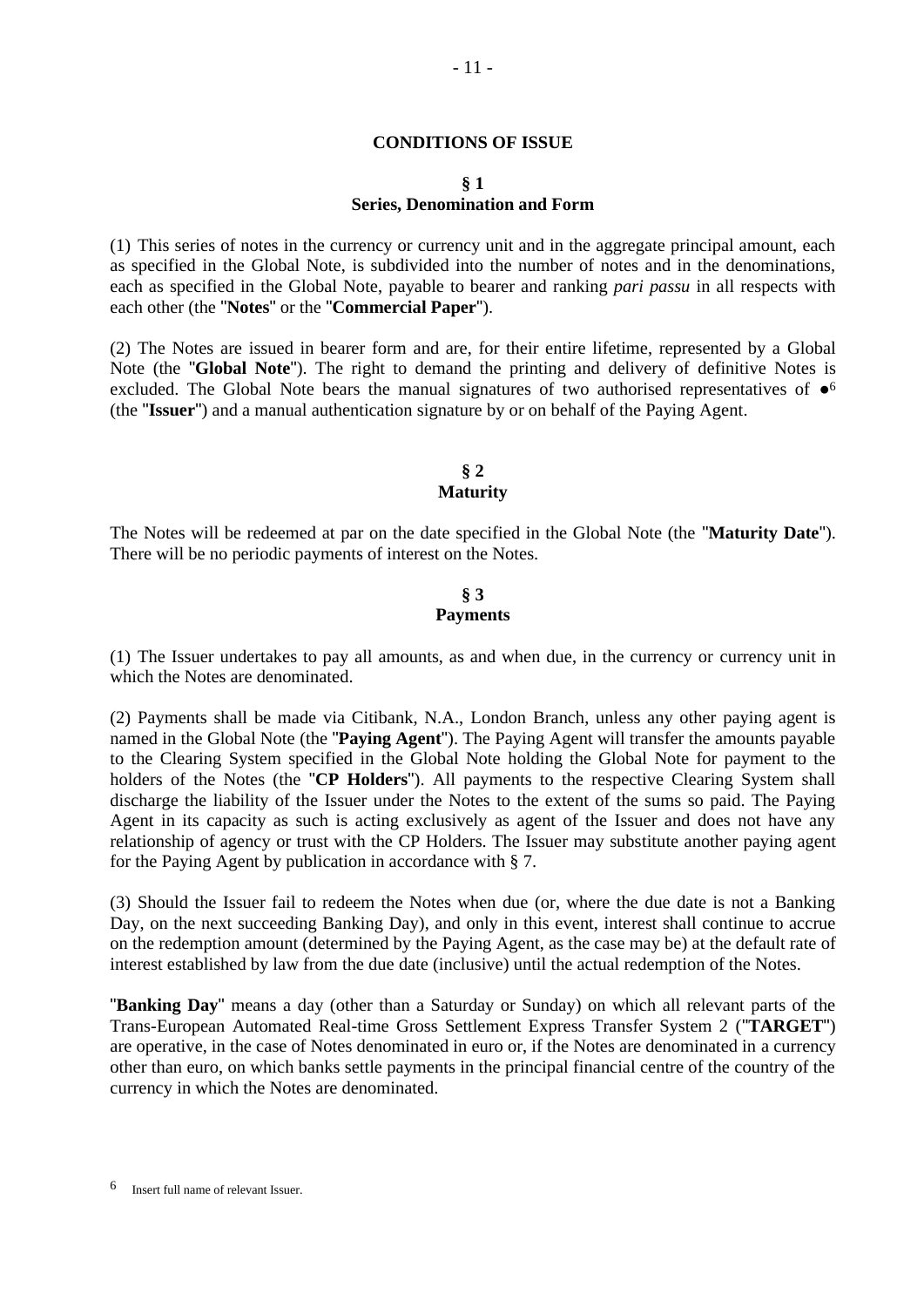#### <span id="page-10-0"></span>**CONDITIONS OF ISSUE**

#### **§ 1 Series, Denomination and Form**

(1) This series of notes in the currency or currency unit and in the aggregate principal amount, each as specified in the Global Note, is subdivided into the number of notes and in the denominations, each as specified in the Global Note, payable to bearer and ranking *pari passu* in all respects with each other (the "**Notes**" or the "**Commercial Paper**").

(2) The Notes are issued in bearer form and are, for their entire lifetime, represented by a Global Note (the "**Global Note**"). The right to demand the printing and delivery of definitive Notes is excluded. The Global Note bears the manual signatures of two authorised representatives of  $\bullet$ <sup>6</sup> (the "**Issuer**") and a manual authentication signature by or on behalf of the Paying Agent.

### **§ 2 Maturity**

The Notes will be redeemed at par on the date specified in the Global Note (the "**Maturity Date**"). There will be no periodic payments of interest on the Notes.

#### **§ 3 Payments**

(1) The Issuer undertakes to pay all amounts, as and when due, in the currency or currency unit in which the Notes are denominated.

(2) Payments shall be made via Citibank, N.A., London Branch, unless any other paying agent is named in the Global Note (the "**Paying Agent**"). The Paying Agent will transfer the amounts payable to the Clearing System specified in the Global Note holding the Global Note for payment to the holders of the Notes (the "**CP Holders**"). All payments to the respective Clearing System shall discharge the liability of the Issuer under the Notes to the extent of the sums so paid. The Paying Agent in its capacity as such is acting exclusively as agent of the Issuer and does not have any relationship of agency or trust with the CP Holders. The Issuer may substitute another paying agent for the Paying Agent by publication in accordance with § 7.

(3) Should the Issuer fail to redeem the Notes when due (or, where the due date is not a Banking Day, on the next succeeding Banking Day), and only in this event, interest shall continue to accrue on the redemption amount (determined by the Paying Agent, as the case may be) at the default rate of interest established by law from the due date (inclusive) until the actual redemption of the Notes.

"**Banking Day**" means a day (other than a Saturday or Sunday) on which all relevant parts of the Trans-European Automated Real-time Gross Settlement Express Transfer System 2 ("**TARGET**") are operative, in the case of Notes denominated in euro or, if the Notes are denominated in a currency other than euro, on which banks settle payments in the principal financial centre of the country of the currency in which the Notes are denominated.

<sup>6</sup> Insert full name of relevant Issuer.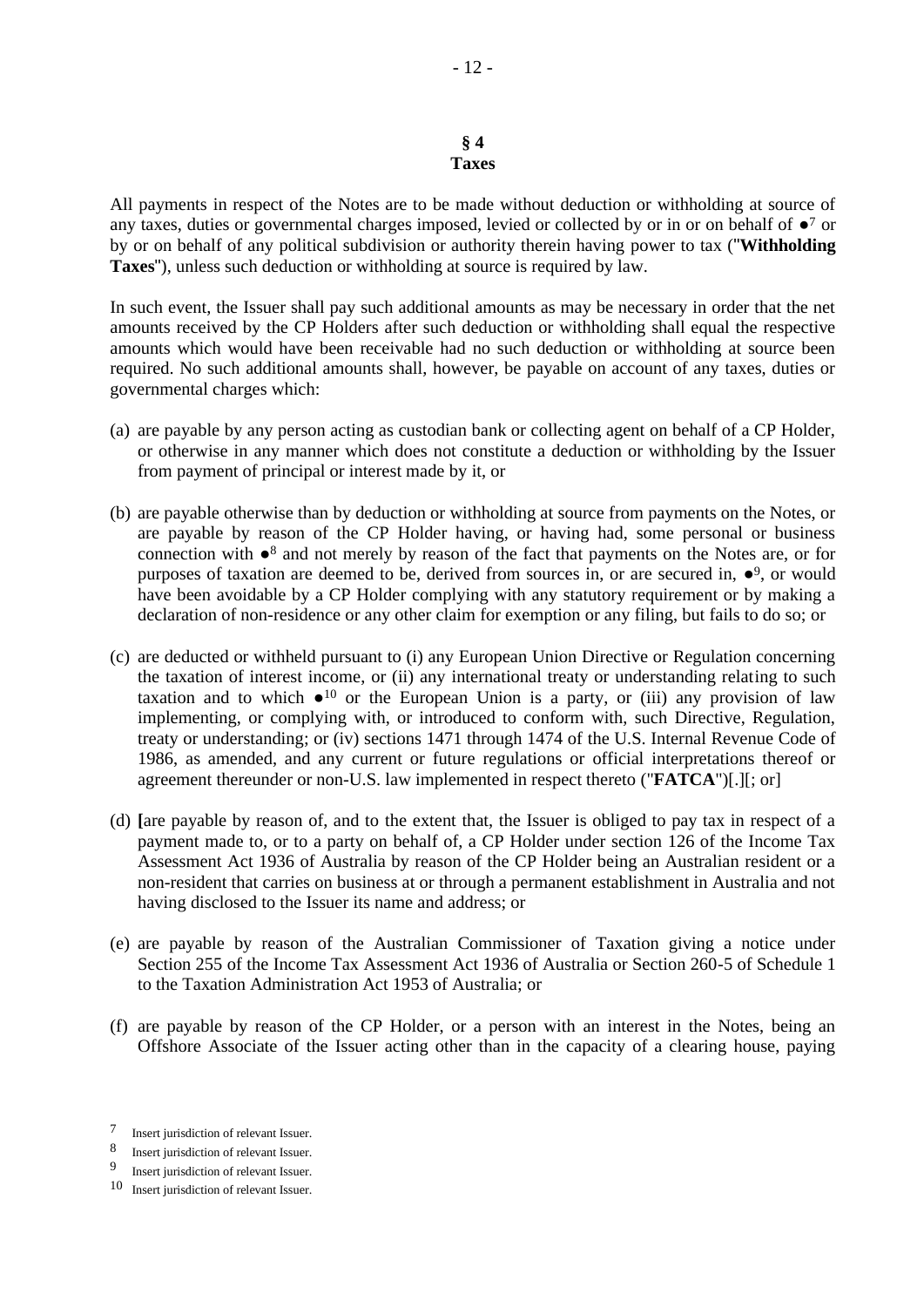#### **§ 4 Taxes**

All payments in respect of the Notes are to be made without deduction or withholding at source of any taxes, duties or governmental charges imposed, levied or collected by or in or on behalf of ●<sup>7</sup> or by or on behalf of any political subdivision or authority therein having power to tax ("**Withholding Taxes**"), unless such deduction or withholding at source is required by law.

In such event, the Issuer shall pay such additional amounts as may be necessary in order that the net amounts received by the CP Holders after such deduction or withholding shall equal the respective amounts which would have been receivable had no such deduction or withholding at source been required. No such additional amounts shall, however, be payable on account of any taxes, duties or governmental charges which:

- (a) are payable by any person acting as custodian bank or collecting agent on behalf of a CP Holder, or otherwise in any manner which does not constitute a deduction or withholding by the Issuer from payment of principal or interest made by it, or
- (b) are payable otherwise than by deduction or withholding at source from payments on the Notes, or are payable by reason of the CP Holder having, or having had, some personal or business connection with ●<sup>8</sup> and not merely by reason of the fact that payments on the Notes are, or for purposes of taxation are deemed to be, derived from sources in, or are secured in, ●<sup>9</sup>, or would have been avoidable by a CP Holder complying with any statutory requirement or by making a declaration of non-residence or any other claim for exemption or any filing, but fails to do so; or
- (c) are deducted or withheld pursuant to (i) any European Union Directive or Regulation concerning the taxation of interest income, or (ii) any international treaty or understanding relating to such taxation and to which  $\bullet$ <sup>10</sup> or the European Union is a party, or (iii) any provision of law implementing, or complying with, or introduced to conform with, such Directive, Regulation, treaty or understanding; or (iv) sections 1471 through 1474 of the U.S. Internal Revenue Code of 1986, as amended, and any current or future regulations or official interpretations thereof or agreement thereunder or non-U.S. law implemented in respect thereto ("**FATCA**")[.][; or]
- (d) **[**are payable by reason of, and to the extent that, the Issuer is obliged to pay tax in respect of a payment made to, or to a party on behalf of, a CP Holder under section 126 of the Income Tax Assessment Act 1936 of Australia by reason of the CP Holder being an Australian resident or a non-resident that carries on business at or through a permanent establishment in Australia and not having disclosed to the Issuer its name and address; or
- (e) are payable by reason of the Australian Commissioner of Taxation giving a notice under Section 255 of the Income Tax Assessment Act 1936 of Australia or Section 260-5 of Schedule 1 to the Taxation Administration Act 1953 of Australia; or
- (f) are payable by reason of the CP Holder, or a person with an interest in the Notes, being an Offshore Associate of the Issuer acting other than in the capacity of a clearing house, paying

<sup>7</sup> Insert jurisdiction of relevant Issuer.

<sup>8</sup> Insert jurisdiction of relevant Issuer.

<sup>9</sup> Insert jurisdiction of relevant Issuer.

<sup>10</sup> Insert jurisdiction of relevant Issuer.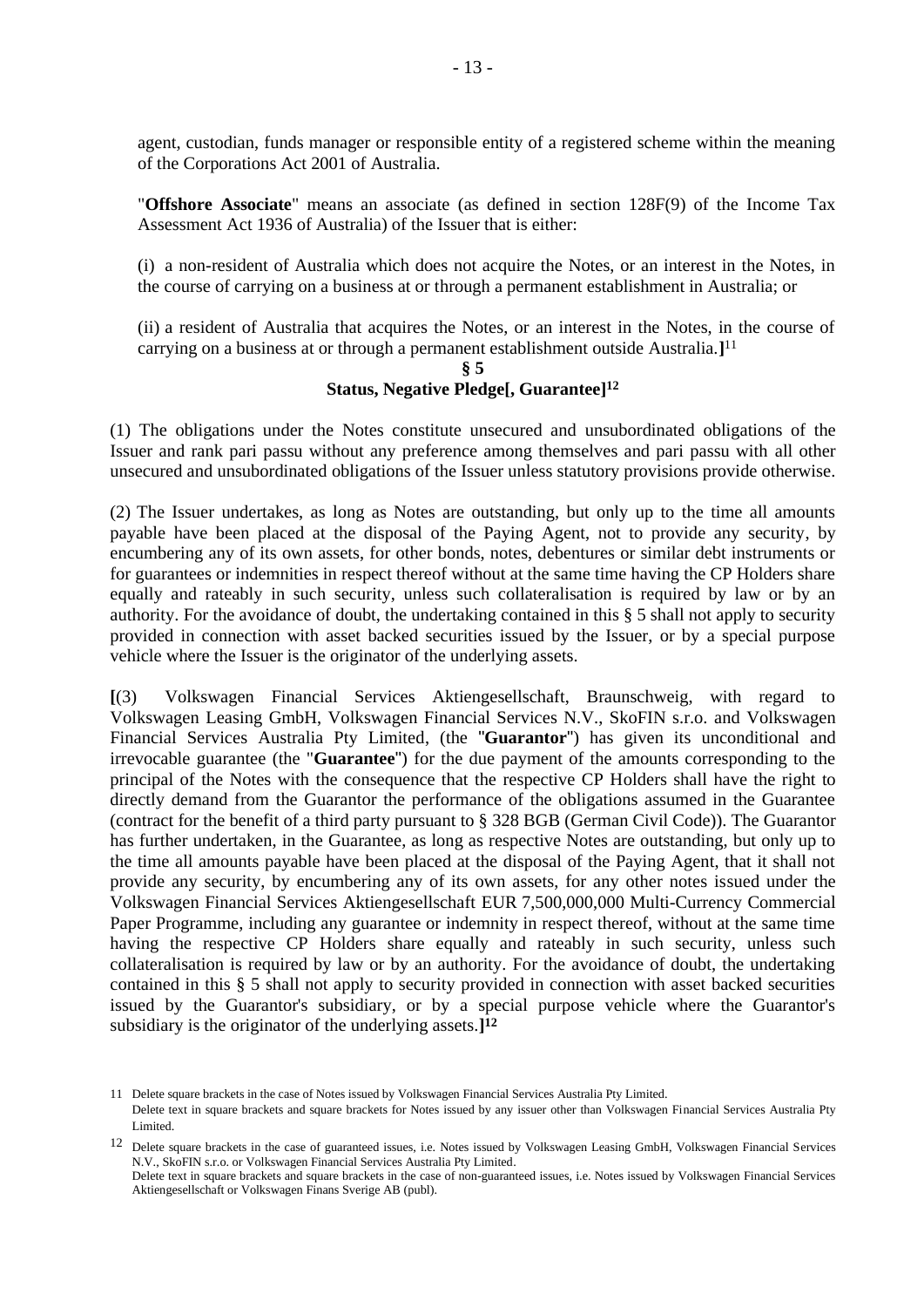agent, custodian, funds manager or responsible entity of a registered scheme within the meaning of the Corporations Act 2001 of Australia.

"**Offshore Associate**" means an associate (as defined in section 128F(9) of the Income Tax Assessment Act 1936 of Australia) of the Issuer that is either:

(i) a non-resident of Australia which does not acquire the Notes, or an interest in the Notes, in the course of carrying on a business at or through a permanent establishment in Australia; or

(ii) a resident of Australia that acquires the Notes, or an interest in the Notes, in the course of carrying on a business at or through a permanent establishment outside Australia.**]** 11

### <span id="page-12-0"></span>**§ 5 Status, Negative Pledge[, Guarantee]<sup>12</sup>**

(1) The obligations under the Notes constitute unsecured and unsubordinated obligations of the Issuer and rank pari passu without any preference among themselves and pari passu with all other unsecured and unsubordinated obligations of the Issuer unless statutory provisions provide otherwise.

(2) The Issuer undertakes, as long as Notes are outstanding, but only up to the time all amounts payable have been placed at the disposal of the Paying Agent, not to provide any security, by encumbering any of its own assets, for other bonds, notes, debentures or similar debt instruments or for guarantees or indemnities in respect thereof without at the same time having the CP Holders share equally and rateably in such security, unless such collateralisation is required by law or by an authority. For the avoidance of doubt, the undertaking contained in this § 5 shall not apply to security provided in connection with asset backed securities issued by the Issuer, or by a special purpose vehicle where the Issuer is the originator of the underlying assets.

**[**(3) Volkswagen Financial Services Aktiengesellschaft, Braunschweig, with regard to Volkswagen Leasing GmbH, Volkswagen Financial Services N.V., SkoFIN s.r.o. and Volkswagen Financial Services Australia Pty Limited, (the "**Guarantor**") has given its unconditional and irrevocable guarantee (the "**Guarantee**") for the due payment of the amounts corresponding to the principal of the Notes with the consequence that the respective CP Holders shall have the right to directly demand from the Guarantor the performance of the obligations assumed in the Guarantee (contract for the benefit of a third party pursuant to § 328 BGB (German Civil Code)). The Guarantor has further undertaken, in the Guarantee, as long as respective Notes are outstanding, but only up to the time all amounts payable have been placed at the disposal of the Paying Agent, that it shall not provide any security, by encumbering any of its own assets, for any other notes issued under the Volkswagen Financial Services Aktiengesellschaft EUR 7,500,000,000 Multi-Currency Commercial Paper Programme, including any guarantee or indemnity in respect thereof, without at the same time having the respective CP Holders share equally and rateably in such security, unless such collateralisation is required by law or by an authority. For the avoidance of doubt, the undertaking contained in this § 5 shall not apply to security provided in connection with asset backed securities issued by the Guarantor's subsidiary, or by a special purpose vehicle where the Guarantor's subsidiary is the originator of the underlying assets.**] [12](#page-12-0)**

<sup>11</sup> Delete square brackets in the case of Notes issued by Volkswagen Financial Services Australia Pty Limited.

Delete text in square brackets and square brackets for Notes issued by any issuer other than Volkswagen Financial Services Australia Pty Limited.

<sup>12</sup> Delete square brackets in the case of guaranteed issues, i.e. Notes issued by Volkswagen Leasing GmbH, Volkswagen Financial Services N.V., SkoFIN s.r.o. or Volkswagen Financial Services Australia Pty Limited.

Delete text in square brackets and square brackets in the case of non-guaranteed issues, i.e. Notes issued by Volkswagen Financial Services Aktiengesellschaft or Volkswagen Finans Sverige AB (publ).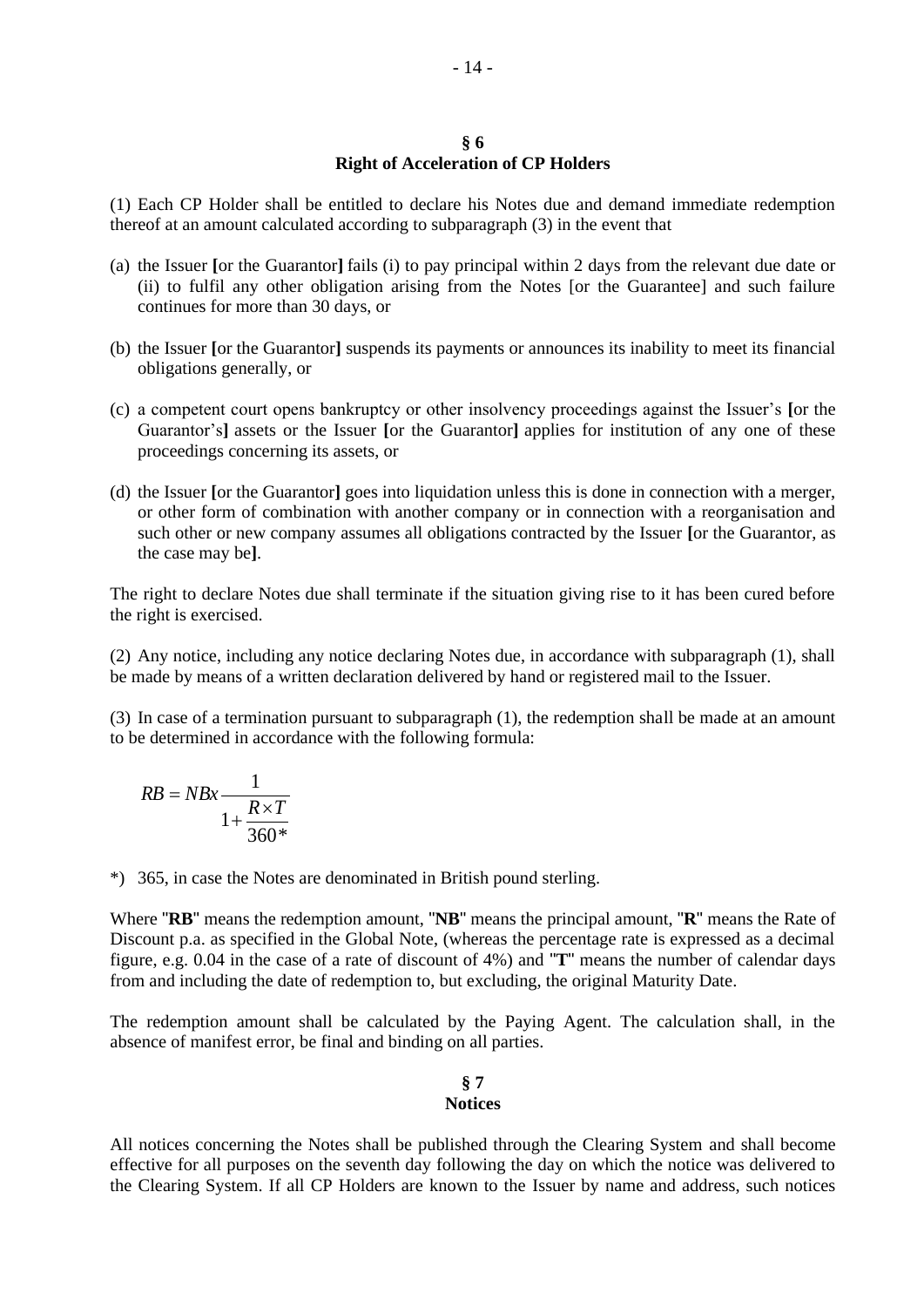#### **§ 6 Right of Acceleration of CP Holders**

(1) Each CP Holder shall be entitled to declare his Notes due and demand immediate redemption thereof at an amount calculated according to subparagraph (3) in the event that

- (a) the Issuer **[**or the Guarantor**]** fails (i) to pay principal within 2 days from the relevant due date or (ii) to fulfil any other obligation arising from the Notes [or the Guarantee] and such failure continues for more than 30 days, or
- (b) the Issuer **[**or the Guarantor**]** suspends its payments or announces its inability to meet its financial obligations generally, or
- (c) a competent court opens bankruptcy or other insolvency proceedings against the Issuer's **[**or the Guarantor's**]** assets or the Issuer **[**or the Guarantor**]** applies for institution of any one of these proceedings concerning its assets, or
- (d) the Issuer **[**or the Guarantor**]** goes into liquidation unless this is done in connection with a merger, or other form of combination with another company or in connection with a reorganisation and such other or new company assumes all obligations contracted by the Issuer **[**or the Guarantor, as the case may be**]**.

The right to declare Notes due shall terminate if the situation giving rise to it has been cured before the right is exercised.

(2) Any notice, including any notice declaring Notes due, in accordance with subparagraph (1), shall be made by means of a written declaration delivered by hand or registered mail to the Issuer.

(3) In case of a termination pursuant to subparagraph (1), the redemption shall be made at an amount to be determined in accordance with the following formula:

$$
RB = NBx \frac{1}{1 + \frac{R \times T}{360^*}}
$$

\*) 365, in case the Notes are denominated in British pound sterling.

Where "**RB**" means the redemption amount, "**NB**" means the principal amount, "**R**" means the Rate of Discount p.a. as specified in the Global Note, (whereas the percentage rate is expressed as a decimal figure, e.g. 0.04 in the case of a rate of discount of 4%) and "**T**" means the number of calendar days from and including the date of redemption to, but excluding, the original Maturity Date.

The redemption amount shall be calculated by the Paying Agent. The calculation shall, in the absence of manifest error, be final and binding on all parties.

#### **§ 7 Notices**

All notices concerning the Notes shall be published through the Clearing System and shall become effective for all purposes on the seventh day following the day on which the notice was delivered to the Clearing System. If all CP Holders are known to the Issuer by name and address, such notices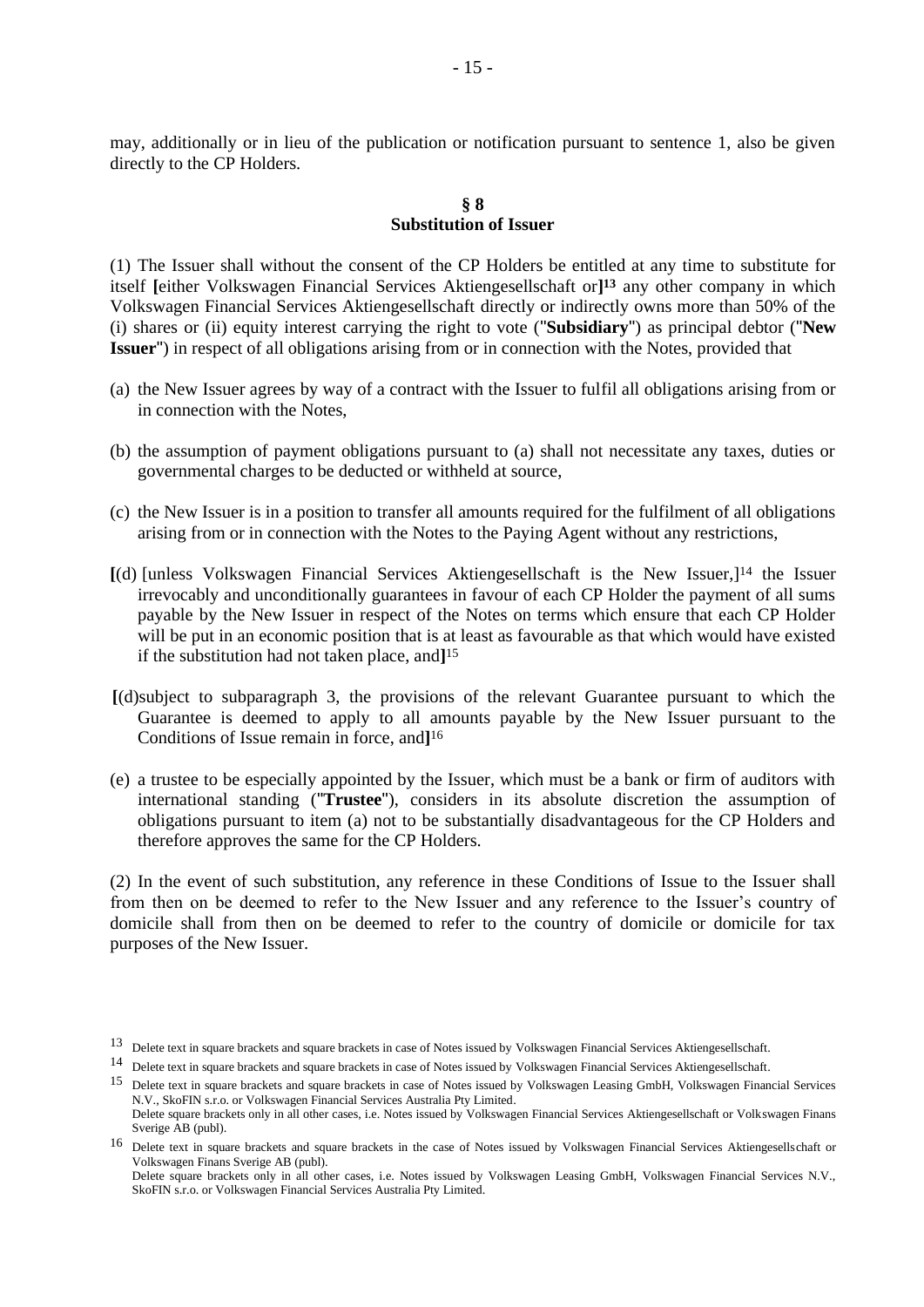may, additionally or in lieu of the publication or notification pursuant to sentence 1, also be given directly to the CP Holders.

#### **§ 8 Substitution of Issuer**

(1) The Issuer shall without the consent of the CP Holders be entitled at any time to substitute for itself **[**either Volkswagen Financial Services Aktiengesellschaft or**] <sup>13</sup>** any other company in which Volkswagen Financial Services Aktiengesellschaft directly or indirectly owns more than 50% of the (i) shares or (ii) equity interest carrying the right to vote ("**Subsidiary**") as principal debtor ("**New Issuer**") in respect of all obligations arising from or in connection with the Notes, provided that

- (a) the New Issuer agrees by way of a contract with the Issuer to fulfil all obligations arising from or in connection with the Notes,
- (b) the assumption of payment obligations pursuant to (a) shall not necessitate any taxes, duties or governmental charges to be deducted or withheld at source,
- (c) the New Issuer is in a position to transfer all amounts required for the fulfilment of all obligations arising from or in connection with the Notes to the Paying Agent without any restrictions,
- **[**(d) [unless Volkswagen Financial Services Aktiengesellschaft is the New Issuer,]<sup>14</sup> the Issuer irrevocably and unconditionally guarantees in favour of each CP Holder the payment of all sums payable by the New Issuer in respect of the Notes on terms which ensure that each CP Holder will be put in an economic position that is at least as favourable as that which would have existed if the substitution had not taken place, and**]** 15
- **[**(d)subject to subparagraph 3, the provisions of the relevant Guarantee pursuant to which the Guarantee is deemed to apply to all amounts payable by the New Issuer pursuant to the Conditions of Issue remain in force, and**]** 16
- (e) a trustee to be especially appointed by the Issuer, which must be a bank or firm of auditors with international standing ("**Trustee**"), considers in its absolute discretion the assumption of obligations pursuant to item (a) not to be substantially disadvantageous for the CP Holders and therefore approves the same for the CP Holders.

(2) In the event of such substitution, any reference in these Conditions of Issue to the Issuer shall from then on be deemed to refer to the New Issuer and any reference to the Issuer's country of domicile shall from then on be deemed to refer to the country of domicile or domicile for tax purposes of the New Issuer.

<sup>&</sup>lt;sup>13</sup> Delete text in square brackets and square brackets in case of Notes issued by Volkswagen Financial Services Aktiengesellschaft.

<sup>14</sup> Delete text in square brackets and square brackets in case of Notes issued by Volkswagen Financial Services Aktiengesellschaft.

<sup>15</sup> Delete text in square brackets and square brackets in case of Notes issued by Volkswagen Leasing GmbH, Volkswagen Financial Services N.V., SkoFIN s.r.o. or Volkswagen Financial Services Australia Pty Limited. Delete square brackets only in all other cases, i.e. Notes issued by Volkswagen Financial Services Aktiengesellschaft or Volkswagen Finans

Sverige AB (publ).

<sup>16</sup> Delete text in square brackets and square brackets in the case of Notes issued by Volkswagen Financial Services Aktiengesellschaft or Volkswagen Finans Sverige AB (publ).

Delete square brackets only in all other cases, i.e. Notes issued by Volkswagen Leasing GmbH, Volkswagen Financial Services N.V., SkoFIN s.r.o. or Volkswagen Financial Services Australia Pty Limited.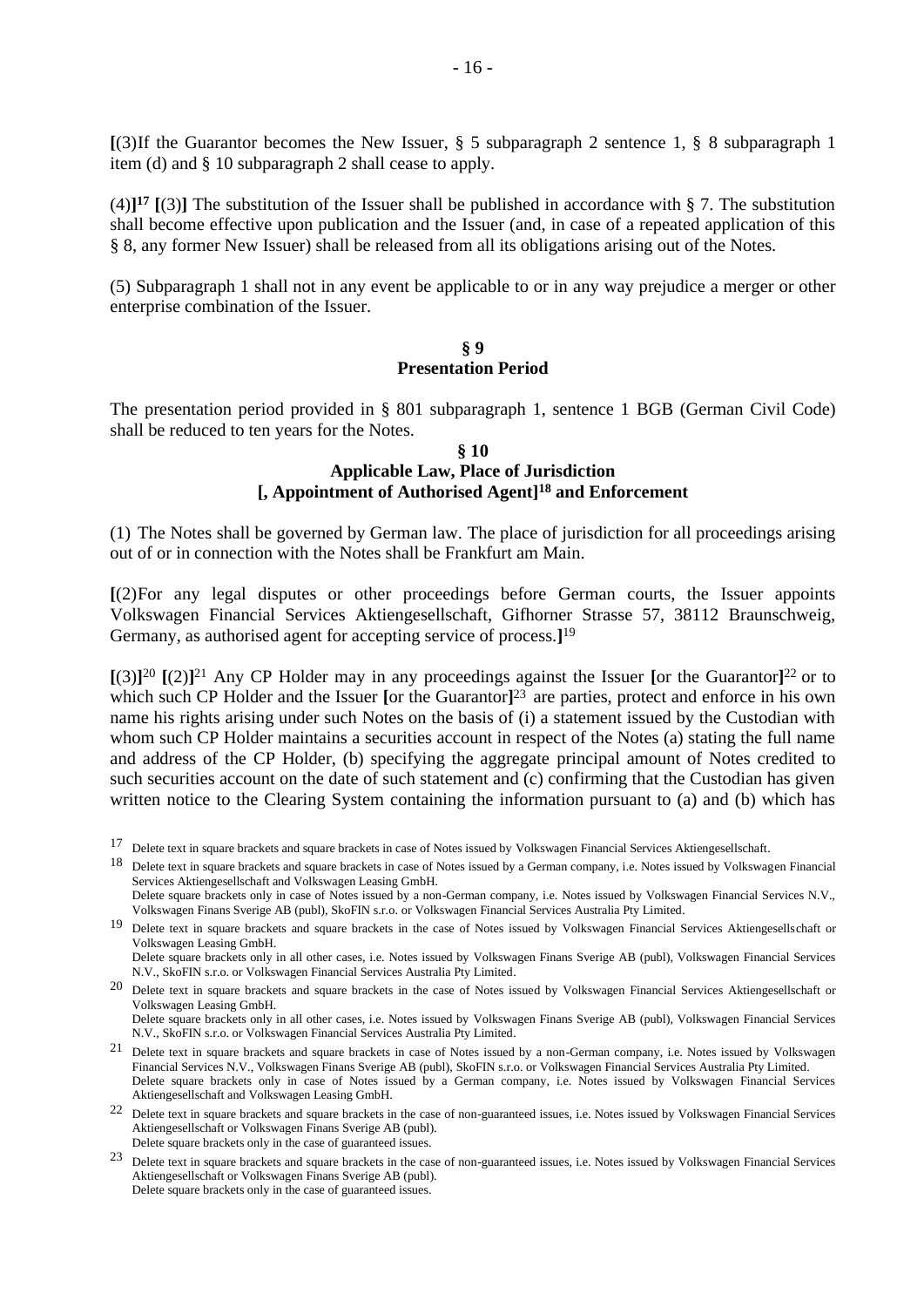**[**(3)If the Guarantor becomes the New Issuer, § 5 subparagraph 2 sentence 1, § 8 subparagraph 1 item (d) and § 10 subparagraph 2 shall cease to apply.

(4)**] <sup>17</sup> [**(3)**]** The substitution of the Issuer shall be published in accordance with § 7. The substitution shall become effective upon publication and the Issuer (and, in case of a repeated application of this § 8, any former New Issuer) shall be released from all its obligations arising out of the Notes.

(5) Subparagraph 1 shall not in any event be applicable to or in any way prejudice a merger or other enterprise combination of the Issuer.

### **§ 9 Presentation Period**

The presentation period provided in § 801 subparagraph 1, sentence 1 BGB (German Civil Code) shall be reduced to ten years for the Notes.

### **§ 10 Applicable Law, Place of Jurisdiction [, Appointment of Authorised Agent]<sup>18</sup> and Enforcement**

(1) The Notes shall be governed by German law. The place of jurisdiction for all proceedings arising out of or in connection with the Notes shall be Frankfurt am Main.

**[**(2)For any legal disputes or other proceedings before German courts, the Issuer appoints Volkswagen Financial Services Aktiengesellschaft, Gifhorner Strasse 57, 38112 Braunschweig, Germany, as authorised agent for accepting service of process.**]** 19

**[**(3)**]** <sup>20</sup> **[**(2)**]** <sup>21</sup> Any CP Holder may in any proceedings against the Issuer **[**or the Guarantor**]** <sup>22</sup> or to which such CP Holder and the Issuer **[**or the Guarantor**]** <sup>23</sup> are parties, protect and enforce in his own name his rights arising under such Notes on the basis of (i) a statement issued by the Custodian with whom such CP Holder maintains a securities account in respect of the Notes (a) stating the full name and address of the CP Holder, (b) specifying the aggregate principal amount of Notes credited to such securities account on the date of such statement and (c) confirming that the Custodian has given written notice to the Clearing System containing the information pursuant to (a) and (b) which has

18 Delete text in square brackets and square brackets in case of Notes issued by a German company, i.e. Notes issued by Volkswagen Financial Services Aktiengesellschaft and Volkswagen Leasing GmbH. Delete square brackets only in case of Notes issued by a non-German company, i.e. Notes issued by Volkswagen Financial Services N.V., Volkswagen Finans Sverige AB (publ), SkoFIN s.r.o. or Volkswagen Financial Services Australia Pty Limited.

19 Delete text in square brackets and square brackets in the case of Notes issued by Volkswagen Financial Services Aktiengesellschaft or Volkswagen Leasing GmbH.

Delete square brackets only in all other cases, i.e. Notes issued by Volkswagen Finans Sverige AB (publ), Volkswagen Financial Services N.V., SkoFIN s.r.o. or Volkswagen Financial Services Australia Pty Limited.

<sup>20</sup> Delete text in square brackets and square brackets in the case of Notes issued by Volkswagen Financial Services Aktiengesellschaft or Volkswagen Leasing GmbH.

Delete square brackets only in all other cases, i.e. Notes issued by Volkswagen Finans Sverige AB (publ), Volkswagen Financial Services N.V., SkoFIN s.r.o. or Volkswagen Financial Services Australia Pty Limited.

21 Delete text in square brackets and square brackets in case of Notes issued by a non-German company, i.e. Notes issued by Volkswagen Financial Services N.V., Volkswagen Finans Sverige AB (publ), SkoFIN s.r.o. or Volkswagen Financial Services Australia Pty Limited. Delete square brackets only in case of Notes issued by a German company, i.e. Notes issued by Volkswagen Financial Services Aktiengesellschaft and Volkswagen Leasing GmbH.

22 Delete text in square brackets and square brackets in the case of non-guaranteed issues, i.e. Notes issued by Volkswagen Financial Services Aktiengesellschaft or Volkswagen Finans Sverige AB (publ). Delete square brackets only in the case of guaranteed issues.

<sup>23</sup> Delete text in square brackets and square brackets in the case of non-guaranteed issues, i.e. Notes issued by Volkswagen Financial Services Aktiengesellschaft or Volkswagen Finans Sverige AB (publ). Delete square brackets only in the case of guaranteed issues.

<sup>17</sup> Delete text in square brackets and square brackets in case of Notes issued by Volkswagen Financial Services Aktiengesellschaft.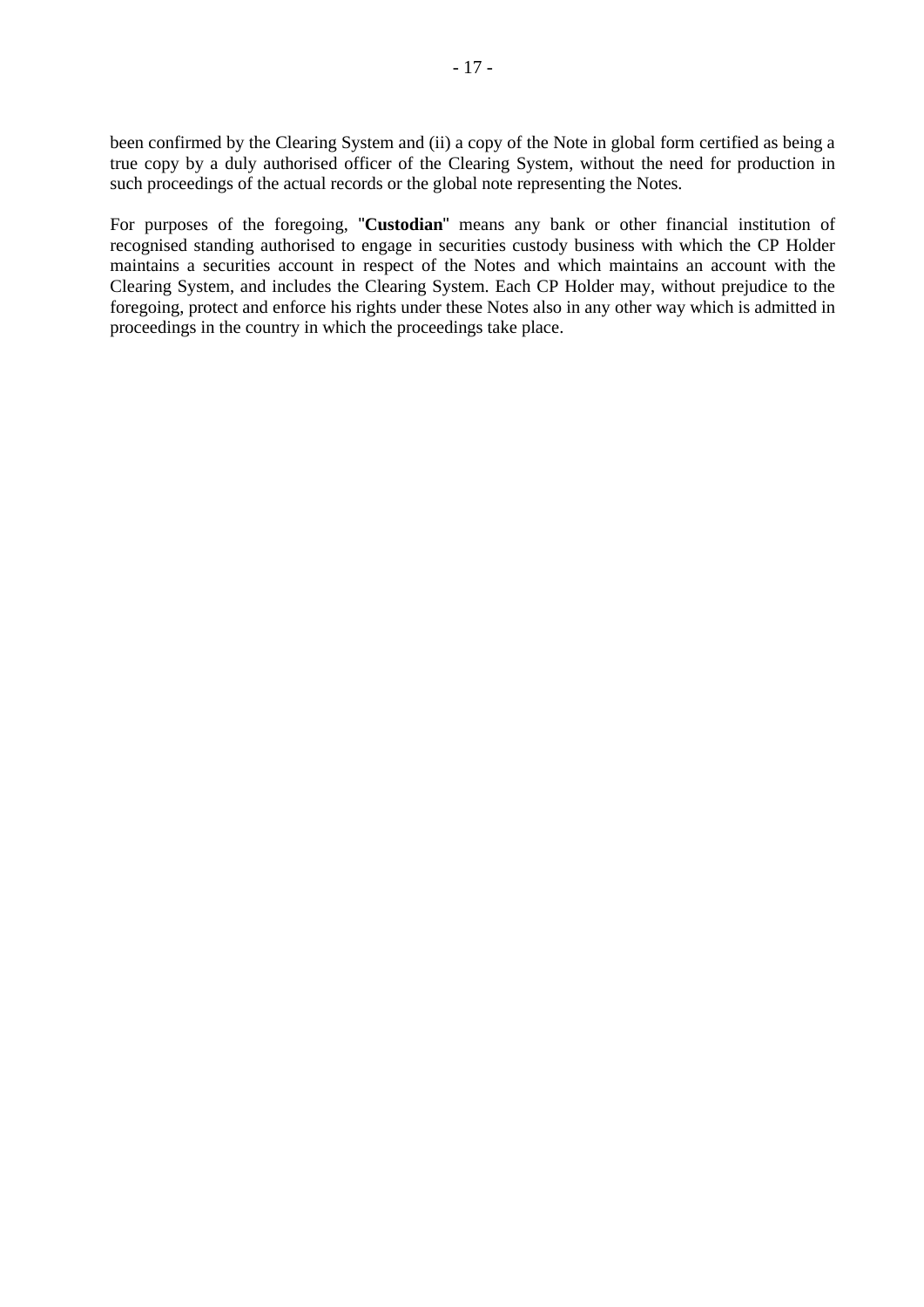been confirmed by the Clearing System and (ii) a copy of the Note in global form certified as being a true copy by a duly authorised officer of the Clearing System, without the need for production in such proceedings of the actual records or the global note representing the Notes.

For purposes of the foregoing, "**Custodian**" means any bank or other financial institution of recognised standing authorised to engage in securities custody business with which the CP Holder maintains a securities account in respect of the Notes and which maintains an account with the Clearing System, and includes the Clearing System. Each CP Holder may, without prejudice to the foregoing, protect and enforce his rights under these Notes also in any other way which is admitted in proceedings in the country in which the proceedings take place.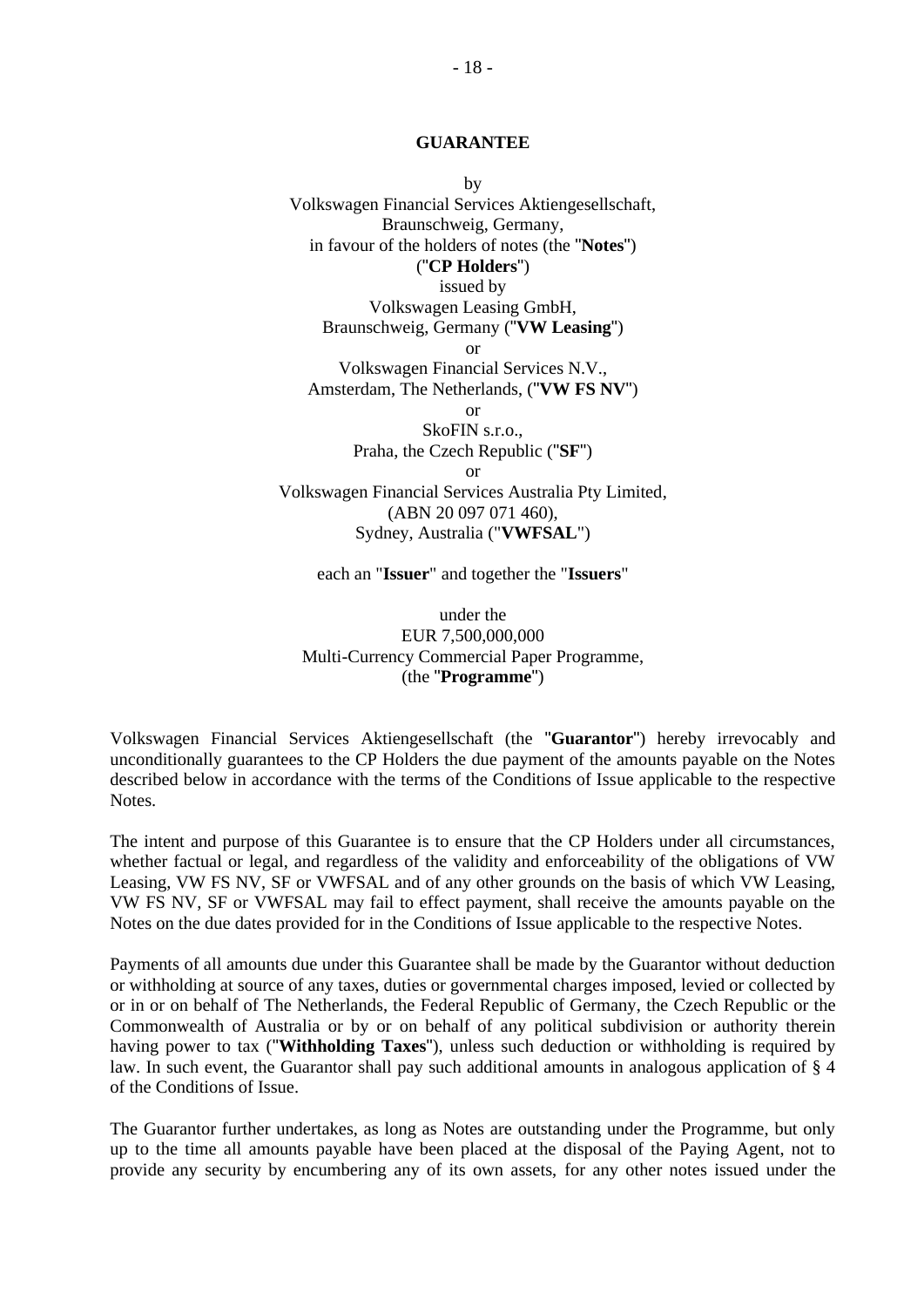### <span id="page-17-0"></span>**GUARANTEE**

by Volkswagen Financial Services Aktiengesellschaft, Braunschweig, Germany, in favour of the holders of notes (the "**Notes**") ("**CP Holders**") issued by Volkswagen Leasing GmbH, Braunschweig, Germany ("**VW Leasing**") or Volkswagen Financial Services N.V., Amsterdam, The Netherlands, ("**VW FS NV**") or SkoFIN s.r.o., Praha, the Czech Republic ("**SF**") or Volkswagen Financial Services Australia Pty Limited, (ABN 20 097 071 460), Sydney, Australia ("**VWFSAL**")

each an "**Issuer**" and together the "**Issuers**"

under the EUR 7,500,000,000 Multi-Currency Commercial Paper Programme, (the "**Programme**")

Volkswagen Financial Services Aktiengesellschaft (the "**Guarantor**") hereby irrevocably and unconditionally guarantees to the CP Holders the due payment of the amounts payable on the Notes described below in accordance with the terms of the Conditions of Issue applicable to the respective Notes.

The intent and purpose of this Guarantee is to ensure that the CP Holders under all circumstances, whether factual or legal, and regardless of the validity and enforceability of the obligations of VW Leasing, VW FS NV, SF or VWFSAL and of any other grounds on the basis of which VW Leasing, VW FS NV, SF or VWFSAL may fail to effect payment, shall receive the amounts payable on the Notes on the due dates provided for in the Conditions of Issue applicable to the respective Notes.

Payments of all amounts due under this Guarantee shall be made by the Guarantor without deduction or withholding at source of any taxes, duties or governmental charges imposed, levied or collected by or in or on behalf of The Netherlands, the Federal Republic of Germany, the Czech Republic or the Commonwealth of Australia or by or on behalf of any political subdivision or authority therein having power to tax ("**Withholding Taxes**"), unless such deduction or withholding is required by law. In such event, the Guarantor shall pay such additional amounts in analogous application of § 4 of the Conditions of Issue.

The Guarantor further undertakes, as long as Notes are outstanding under the Programme, but only up to the time all amounts payable have been placed at the disposal of the Paying Agent, not to provide any security by encumbering any of its own assets, for any other notes issued under the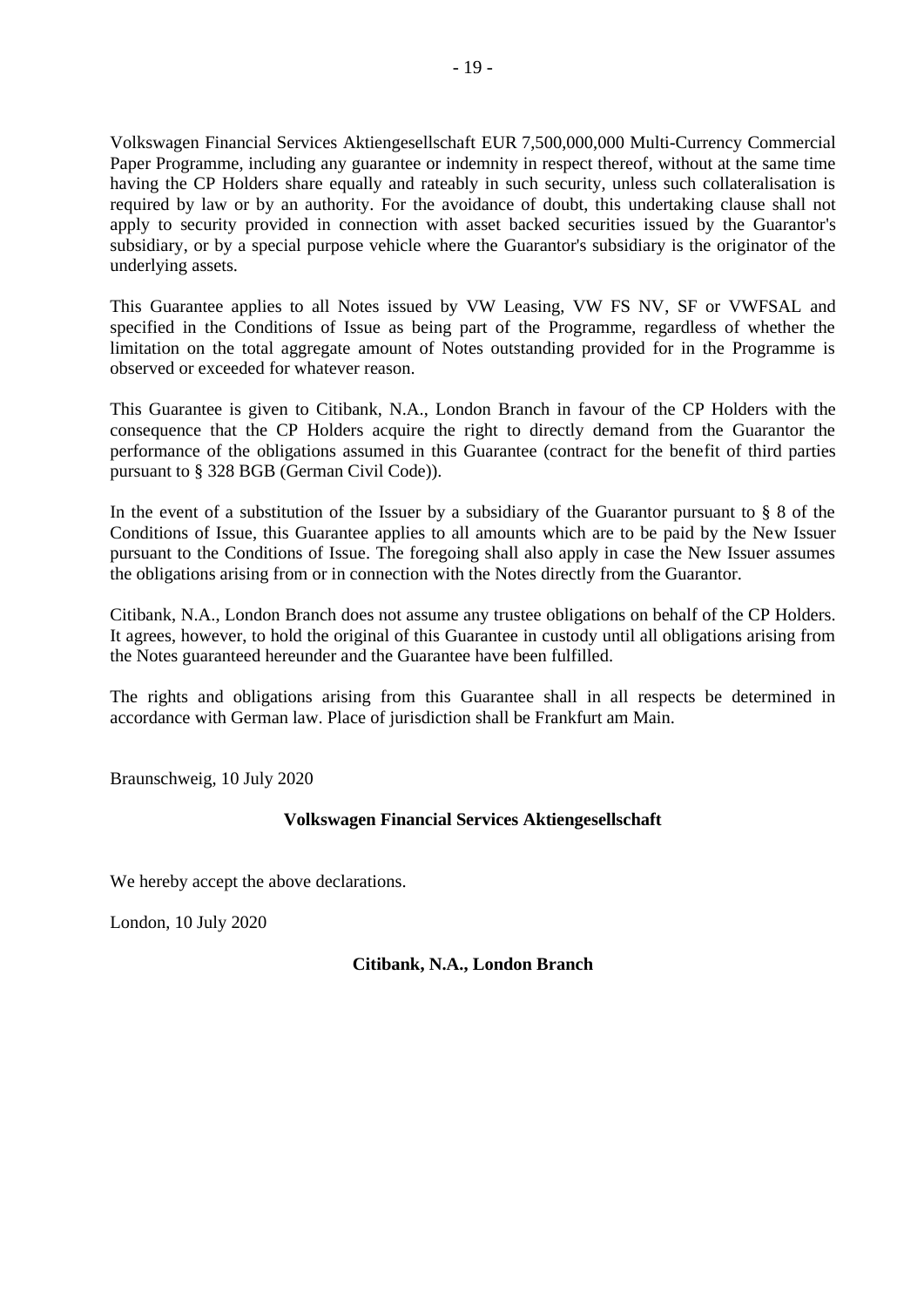Volkswagen Financial Services Aktiengesellschaft EUR 7,500,000,000 Multi-Currency Commercial Paper Programme, including any guarantee or indemnity in respect thereof, without at the same time having the CP Holders share equally and rateably in such security, unless such collateralisation is required by law or by an authority. For the avoidance of doubt, this undertaking clause shall not apply to security provided in connection with asset backed securities issued by the Guarantor's subsidiary, or by a special purpose vehicle where the Guarantor's subsidiary is the originator of the underlying assets.

This Guarantee applies to all Notes issued by VW Leasing, VW FS NV, SF or VWFSAL and specified in the Conditions of Issue as being part of the Programme, regardless of whether the limitation on the total aggregate amount of Notes outstanding provided for in the Programme is observed or exceeded for whatever reason.

This Guarantee is given to Citibank, N.A., London Branch in favour of the CP Holders with the consequence that the CP Holders acquire the right to directly demand from the Guarantor the performance of the obligations assumed in this Guarantee (contract for the benefit of third parties pursuant to § 328 BGB (German Civil Code)).

In the event of a substitution of the Issuer by a subsidiary of the Guarantor pursuant to § 8 of the Conditions of Issue, this Guarantee applies to all amounts which are to be paid by the New Issuer pursuant to the Conditions of Issue. The foregoing shall also apply in case the New Issuer assumes the obligations arising from or in connection with the Notes directly from the Guarantor.

Citibank, N.A., London Branch does not assume any trustee obligations on behalf of the CP Holders. It agrees, however, to hold the original of this Guarantee in custody until all obligations arising from the Notes guaranteed hereunder and the Guarantee have been fulfilled.

The rights and obligations arising from this Guarantee shall in all respects be determined in accordance with German law. Place of jurisdiction shall be Frankfurt am Main.

Braunschweig, 10 July 2020

### **Volkswagen Financial Services Aktiengesellschaft**

We hereby accept the above declarations.

London, 10 July 2020

### **Citibank, N.A., London Branch**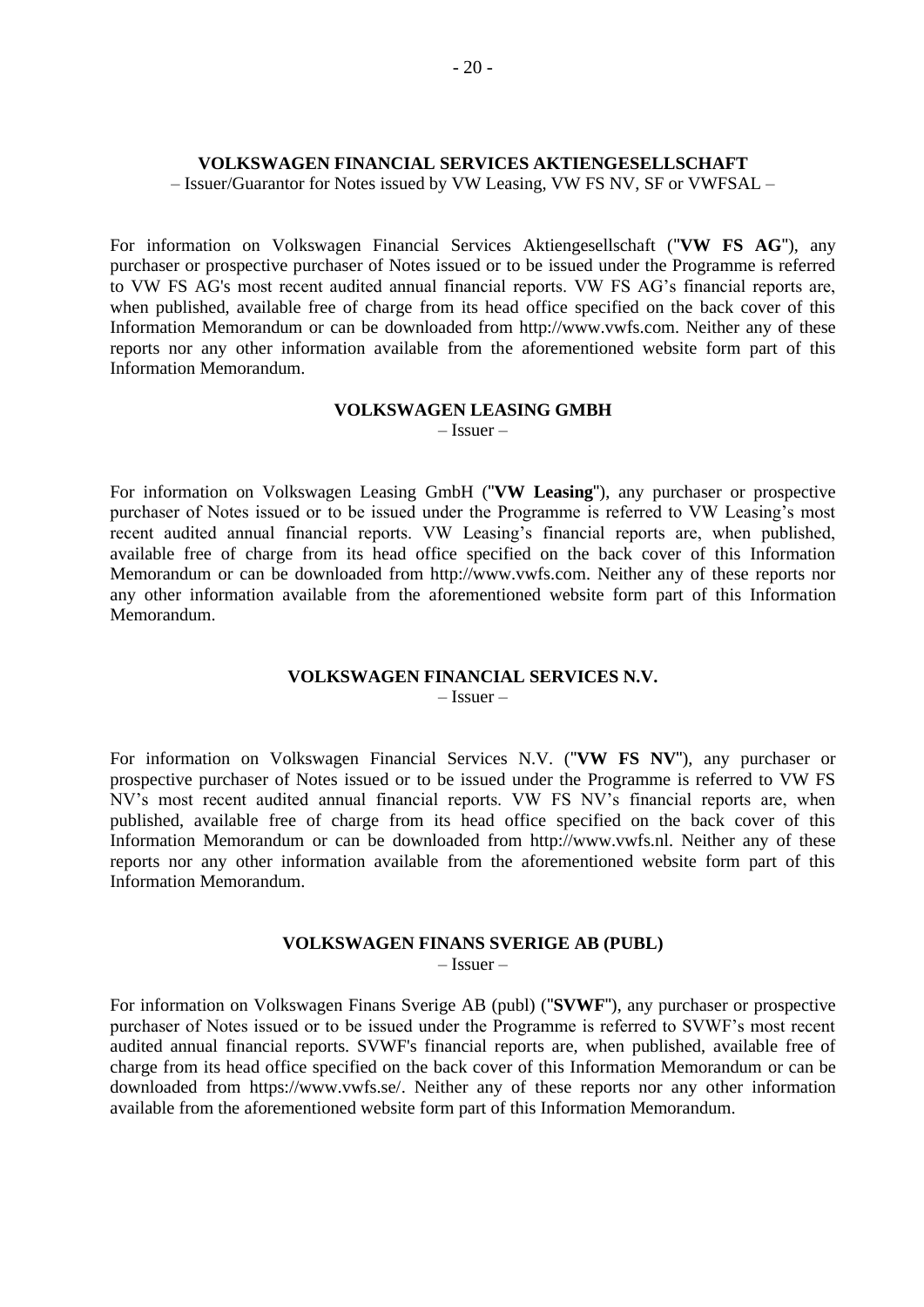### **VOLKSWAGEN FINANCIAL SERVICES AKTIENGESELLSCHAFT**

– Issuer/Guarantor for Notes issued by VW Leasing, VW FS NV, SF or VWFSAL –

For information on Volkswagen Financial Services Aktiengesellschaft ("**VW FS AG**"), any purchaser or prospective purchaser of Notes issued or to be issued under the Programme is referred to VW FS AG's most recent audited annual financial reports. VW FS AG's financial reports are, when published, available free of charge from its head office specified on the back cover of this Information Memorandum or can be downloaded from http://www.vwfs.com. Neither any of these reports nor any other information available from the aforementioned website form part of this Information Memorandum.

#### **VOLKSWAGEN LEASING GMBH**

<span id="page-19-1"></span><span id="page-19-0"></span>– Issuer –

For information on Volkswagen Leasing GmbH ("**VW Leasing**"), any purchaser or prospective purchaser of Notes issued or to be issued under the Programme is referred to VW Leasing's most recent audited annual financial reports. VW Leasing's financial reports are, when published, available free of charge from its head office specified on the back cover of this Information Memorandum or can be downloaded from http://www.vwfs.com. Neither any of these reports nor any other information available from the aforementioned website form part of this Information Memorandum.

### **VOLKSWAGEN FINANCIAL SERVICES N.V.**

<span id="page-19-2"></span>– Issuer –

For information on Volkswagen Financial Services N.V. ("**VW FS NV**"), any purchaser or prospective purchaser of Notes issued or to be issued under the Programme is referred to VW FS NV's most recent audited annual financial reports. VW FS NV's financial reports are, when published, available free of charge from its head office specified on the back cover of this Information Memorandum or can be downloaded from http://www.vwfs.nl. Neither any of these reports nor any other information available from the aforementioned website form part of this Information Memorandum.

# **VOLKSWAGEN FINANS SVERIGE AB (PUBL)**

<span id="page-19-3"></span>– Issuer –

For information on Volkswagen Finans Sverige AB (publ) ("**SVWF**"), any purchaser or prospective purchaser of Notes issued or to be issued under the Programme is referred to SVWF's most recent audited annual financial reports. SVWF's financial reports are, when published, available free of charge from its head office specified on the back cover of this Information Memorandum or can be downloaded from https://www.vwfs.se/. Neither any of these reports nor any other information available from the aforementioned website form part of this Information Memorandum.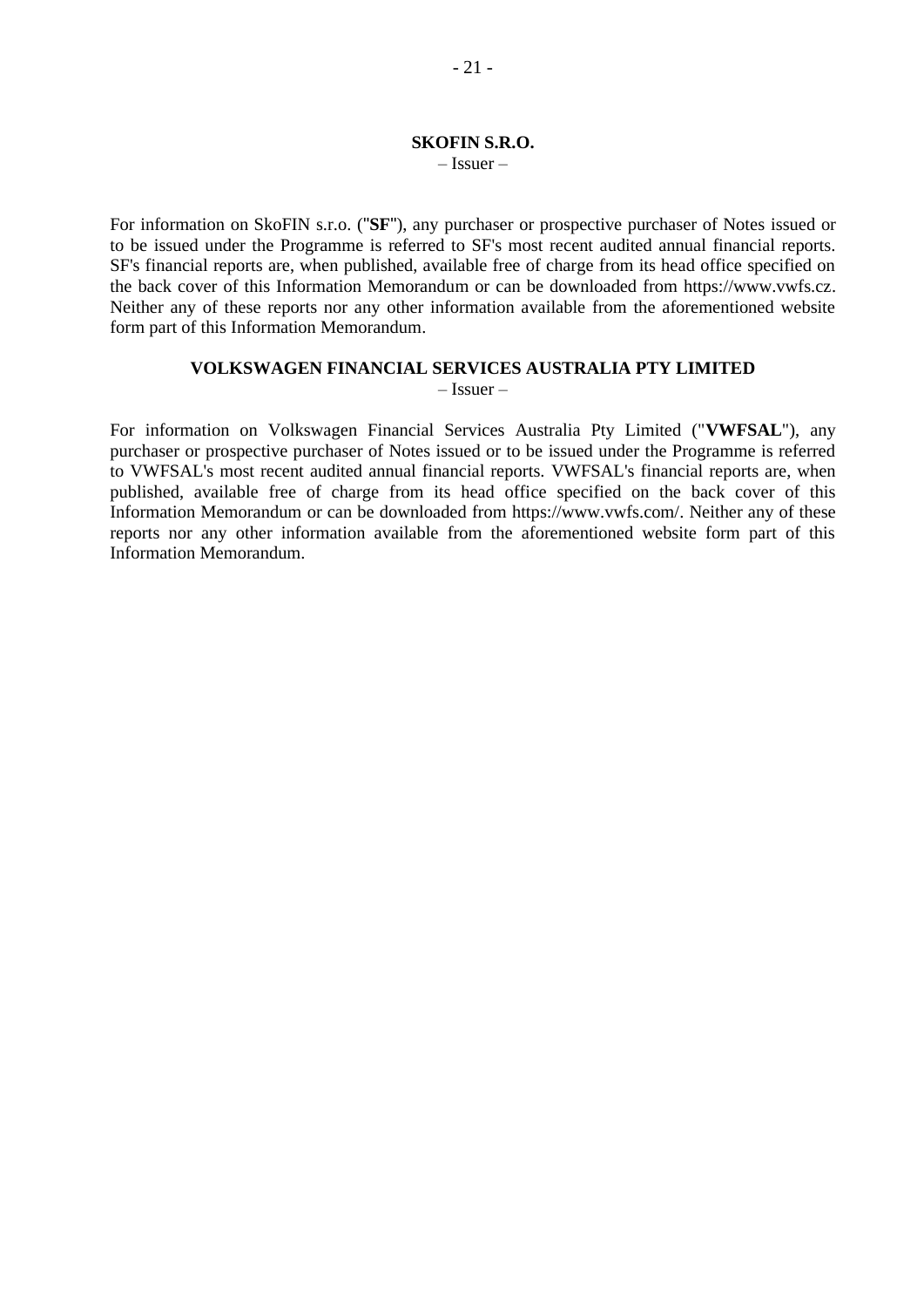#### <span id="page-20-0"></span>**SKOFIN S.R.O.** – Issuer –

For information on SkoFIN s.r.o. ("**SF**"), any purchaser or prospective purchaser of Notes issued or to be issued under the Programme is referred to SF's most recent audited annual financial reports. SF's financial reports are, when published, available free of charge from its head office specified on the back cover of this Information Memorandum or can be downloaded from https://www.vwfs.cz. Neither any of these reports nor any other information available from the aforementioned website form part of this Information Memorandum.

# **VOLKSWAGEN FINANCIAL SERVICES AUSTRALIA PTY LIMITED**

<span id="page-20-1"></span>– Issuer –

For information on Volkswagen Financial Services Australia Pty Limited ("**VWFSAL**"), any purchaser or prospective purchaser of Notes issued or to be issued under the Programme is referred to VWFSAL's most recent audited annual financial reports. VWFSAL's financial reports are, when published, available free of charge from its head office specified on the back cover of this Information Memorandum or can be downloaded from https://www.vwfs.com/. Neither any of these reports nor any other information available from the aforementioned website form part of this Information Memorandum.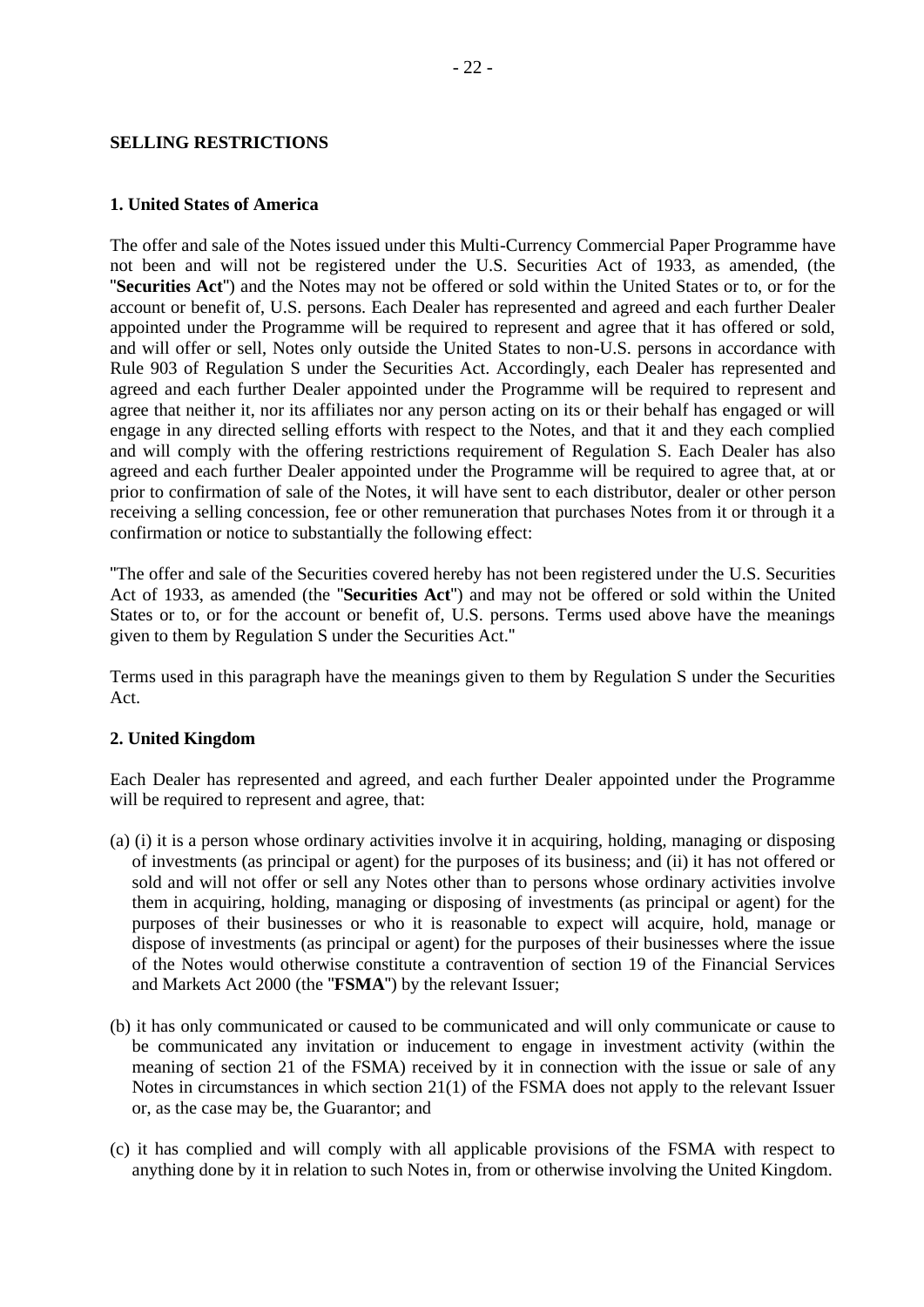### <span id="page-21-0"></span>**SELLING RESTRICTIONS**

#### **1. United States of America**

The offer and sale of the Notes issued under this Multi-Currency Commercial Paper Programme have not been and will not be registered under the U.S. Securities Act of 1933, as amended, (the "**Securities Act**") and the Notes may not be offered or sold within the United States or to, or for the account or benefit of, U.S. persons. Each Dealer has represented and agreed and each further Dealer appointed under the Programme will be required to represent and agree that it has offered or sold, and will offer or sell, Notes only outside the United States to non-U.S. persons in accordance with Rule 903 of Regulation S under the Securities Act. Accordingly, each Dealer has represented and agreed and each further Dealer appointed under the Programme will be required to represent and agree that neither it, nor its affiliates nor any person acting on its or their behalf has engaged or will engage in any directed selling efforts with respect to the Notes, and that it and they each complied and will comply with the offering restrictions requirement of Regulation S. Each Dealer has also agreed and each further Dealer appointed under the Programme will be required to agree that, at or prior to confirmation of sale of the Notes, it will have sent to each distributor, dealer or other person receiving a selling concession, fee or other remuneration that purchases Notes from it or through it a confirmation or notice to substantially the following effect:

"The offer and sale of the Securities covered hereby has not been registered under the U.S. Securities Act of 1933, as amended (the "**Securities Act**") and may not be offered or sold within the United States or to, or for the account or benefit of, U.S. persons. Terms used above have the meanings given to them by Regulation S under the Securities Act."

Terms used in this paragraph have the meanings given to them by Regulation S under the Securities Act.

### **2. United Kingdom**

Each Dealer has represented and agreed, and each further Dealer appointed under the Programme will be required to represent and agree, that:

- (a) (i) it is a person whose ordinary activities involve it in acquiring, holding, managing or disposing of investments (as principal or agent) for the purposes of its business; and (ii) it has not offered or sold and will not offer or sell any Notes other than to persons whose ordinary activities involve them in acquiring, holding, managing or disposing of investments (as principal or agent) for the purposes of their businesses or who it is reasonable to expect will acquire, hold, manage or dispose of investments (as principal or agent) for the purposes of their businesses where the issue of the Notes would otherwise constitute a contravention of section 19 of the Financial Services and Markets Act 2000 (the "**FSMA**") by the relevant Issuer;
- (b) it has only communicated or caused to be communicated and will only communicate or cause to be communicated any invitation or inducement to engage in investment activity (within the meaning of section 21 of the FSMA) received by it in connection with the issue or sale of any Notes in circumstances in which section 21(1) of the FSMA does not apply to the relevant Issuer or, as the case may be, the Guarantor; and
- (c) it has complied and will comply with all applicable provisions of the FSMA with respect to anything done by it in relation to such Notes in, from or otherwise involving the United Kingdom.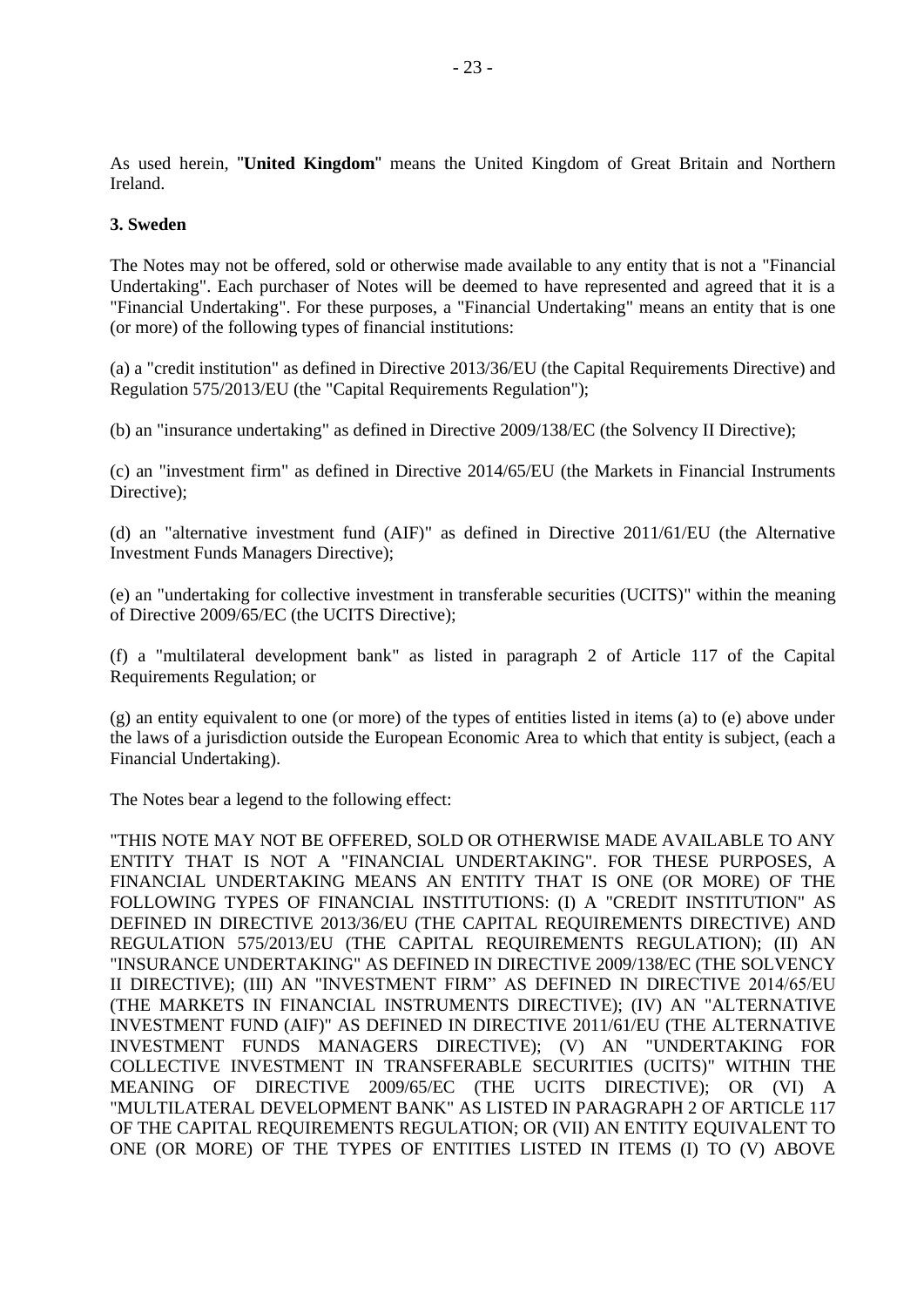As used herein, "**United Kingdom**" means the United Kingdom of Great Britain and Northern Ireland.

### **3. Sweden**

The Notes may not be offered, sold or otherwise made available to any entity that is not a "Financial Undertaking". Each purchaser of Notes will be deemed to have represented and agreed that it is a "Financial Undertaking". For these purposes, a "Financial Undertaking" means an entity that is one (or more) of the following types of financial institutions:

(a) a "credit institution" as defined in Directive 2013/36/EU (the Capital Requirements Directive) and Regulation 575/2013/EU (the "Capital Requirements Regulation");

(b) an "insurance undertaking" as defined in Directive 2009/138/EC (the Solvency II Directive);

(c) an "investment firm" as defined in Directive 2014/65/EU (the Markets in Financial Instruments Directive);

(d) an "alternative investment fund (AIF)" as defined in Directive 2011/61/EU (the Alternative Investment Funds Managers Directive);

(e) an "undertaking for collective investment in transferable securities (UCITS)" within the meaning of Directive 2009/65/EC (the UCITS Directive);

(f) a "multilateral development bank" as listed in paragraph 2 of Article 117 of the Capital Requirements Regulation; or

(g) an entity equivalent to one (or more) of the types of entities listed in items (a) to (e) above under the laws of a jurisdiction outside the European Economic Area to which that entity is subject, (each a Financial Undertaking).

The Notes bear a legend to the following effect:

"THIS NOTE MAY NOT BE OFFERED, SOLD OR OTHERWISE MADE AVAILABLE TO ANY ENTITY THAT IS NOT A "FINANCIAL UNDERTAKING". FOR THESE PURPOSES, A FINANCIAL UNDERTAKING MEANS AN ENTITY THAT IS ONE (OR MORE) OF THE FOLLOWING TYPES OF FINANCIAL INSTITUTIONS: (I) A "CREDIT INSTITUTION" AS DEFINED IN DIRECTIVE 2013/36/EU (THE CAPITAL REQUIREMENTS DIRECTIVE) AND REGULATION 575/2013/EU (THE CAPITAL REQUIREMENTS REGULATION); (II) AN "INSURANCE UNDERTAKING" AS DEFINED IN DIRECTIVE 2009/138/EC (THE SOLVENCY II DIRECTIVE); (III) AN "INVESTMENT FIRM" AS DEFINED IN DIRECTIVE 2014/65/EU (THE MARKETS IN FINANCIAL INSTRUMENTS DIRECTIVE); (IV) AN "ALTERNATIVE INVESTMENT FUND (AIF)" AS DEFINED IN DIRECTIVE 2011/61/EU (THE ALTERNATIVE INVESTMENT FUNDS MANAGERS DIRECTIVE); (V) AN "UNDERTAKING FOR COLLECTIVE INVESTMENT IN TRANSFERABLE SECURITIES (UCITS)" WITHIN THE MEANING OF DIRECTIVE 2009/65/EC (THE UCITS DIRECTIVE); OR (VI) A "MULTILATERAL DEVELOPMENT BANK" AS LISTED IN PARAGRAPH 2 OF ARTICLE 117 OF THE CAPITAL REQUIREMENTS REGULATION; OR (VII) AN ENTITY EQUIVALENT TO ONE (OR MORE) OF THE TYPES OF ENTITIES LISTED IN ITEMS (I) TO (V) ABOVE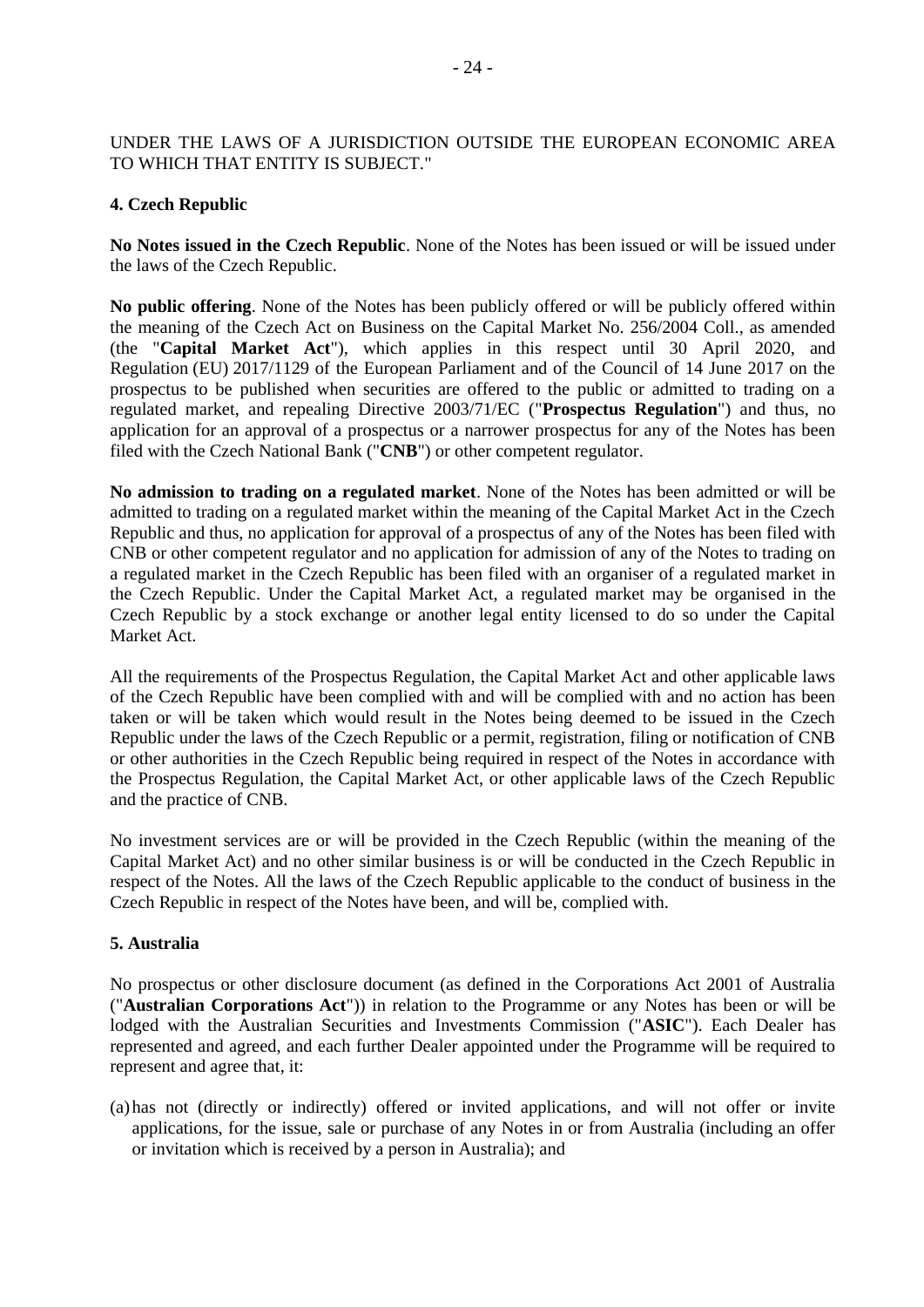### UNDER THE LAWS OF A JURISDICTION OUTSIDE THE EUROPEAN ECONOMIC AREA TO WHICH THAT ENTITY IS SUBJECT."

### **4. Czech Republic**

**No Notes issued in the Czech Republic**. None of the Notes has been issued or will be issued under the laws of the Czech Republic.

**No public offering**. None of the Notes has been publicly offered or will be publicly offered within the meaning of the Czech Act on Business on the Capital Market No. 256/2004 Coll., as amended (the "**Capital Market Act**"), which applies in this respect until 30 April 2020, and Regulation (EU) 2017/1129 of the European Parliament and of the Council of 14 June 2017 on the prospectus to be published when securities are offered to the public or admitted to trading on a regulated market, and repealing Directive 2003/71/EC ("**Prospectus Regulation**") and thus, no application for an approval of a prospectus or a narrower prospectus for any of the Notes has been filed with the Czech National Bank ("**CNB**") or other competent regulator.

**No admission to trading on a regulated market**. None of the Notes has been admitted or will be admitted to trading on a regulated market within the meaning of the Capital Market Act in the Czech Republic and thus, no application for approval of a prospectus of any of the Notes has been filed with CNB or other competent regulator and no application for admission of any of the Notes to trading on a regulated market in the Czech Republic has been filed with an organiser of a regulated market in the Czech Republic. Under the Capital Market Act, a regulated market may be organised in the Czech Republic by a stock exchange or another legal entity licensed to do so under the Capital Market Act.

All the requirements of the Prospectus Regulation, the Capital Market Act and other applicable laws of the Czech Republic have been complied with and will be complied with and no action has been taken or will be taken which would result in the Notes being deemed to be issued in the Czech Republic under the laws of the Czech Republic or a permit, registration, filing or notification of CNB or other authorities in the Czech Republic being required in respect of the Notes in accordance with the Prospectus Regulation, the Capital Market Act, or other applicable laws of the Czech Republic and the practice of CNB.

No investment services are or will be provided in the Czech Republic (within the meaning of the Capital Market Act) and no other similar business is or will be conducted in the Czech Republic in respect of the Notes. All the laws of the Czech Republic applicable to the conduct of business in the Czech Republic in respect of the Notes have been, and will be, complied with.

### **5. Australia**

No prospectus or other disclosure document (as defined in the Corporations Act 2001 of Australia ("**Australian Corporations Act**")) in relation to the Programme or any Notes has been or will be lodged with the Australian Securities and Investments Commission ("**ASIC**"). Each Dealer has represented and agreed, and each further Dealer appointed under the Programme will be required to represent and agree that, it:

(a)has not (directly or indirectly) offered or invited applications, and will not offer or invite applications, for the issue, sale or purchase of any Notes in or from Australia (including an offer or invitation which is received by a person in Australia); and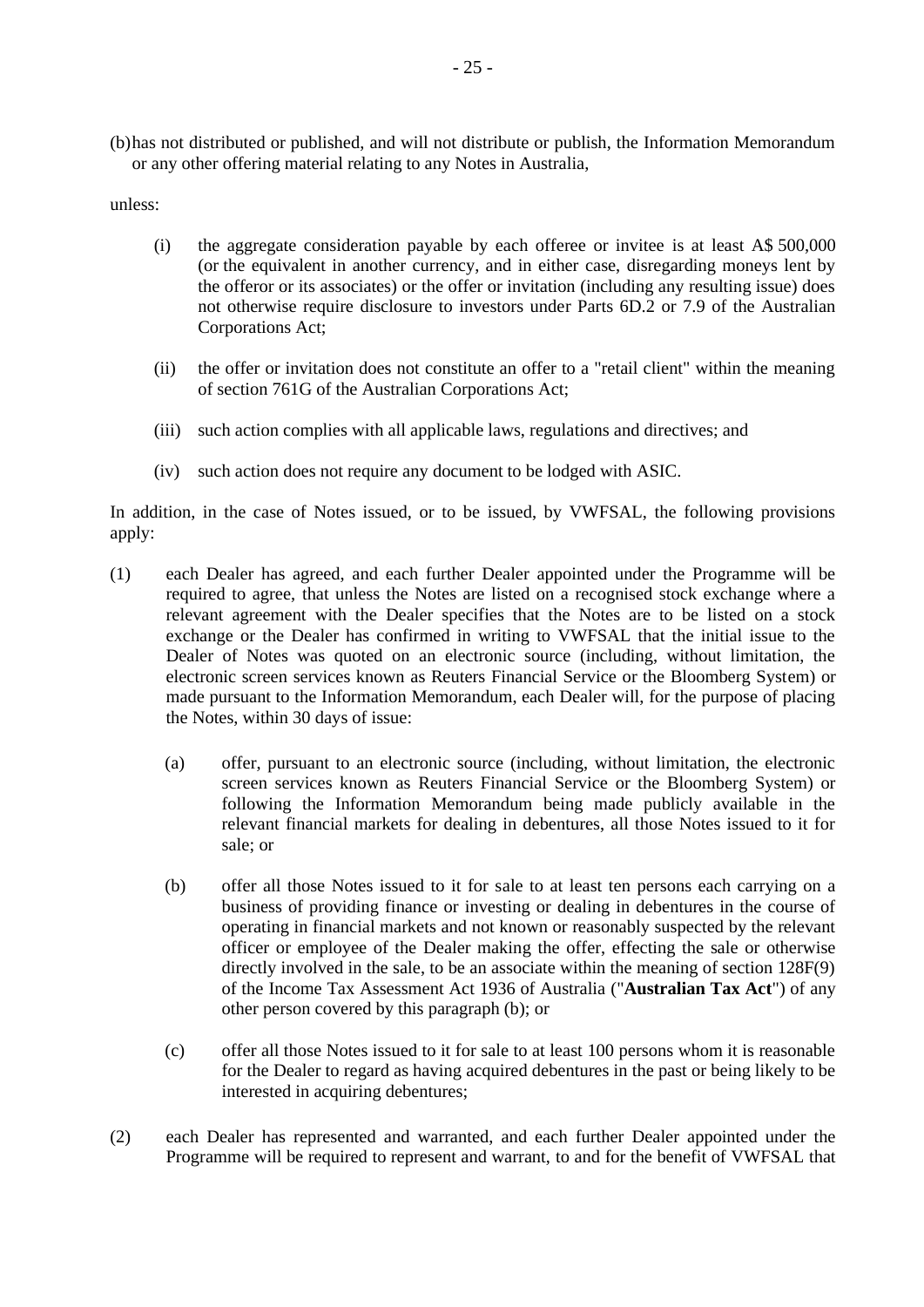(b)has not distributed or published, and will not distribute or publish, the Information Memorandum or any other offering material relating to any Notes in Australia,

unless:

- (i) the aggregate consideration payable by each offeree or invitee is at least A\$ 500,000 (or the equivalent in another currency, and in either case, disregarding moneys lent by the offeror or its associates) or the offer or invitation (including any resulting issue) does not otherwise require disclosure to investors under Parts 6D.2 or 7.9 of the Australian Corporations Act;
- (ii) the offer or invitation does not constitute an offer to a "retail client" within the meaning of section 761G of the Australian Corporations Act;
- (iii) such action complies with all applicable laws, regulations and directives; and
- (iv) such action does not require any document to be lodged with ASIC.

In addition, in the case of Notes issued, or to be issued, by VWFSAL, the following provisions apply:

- (1) each Dealer has agreed, and each further Dealer appointed under the Programme will be required to agree, that unless the Notes are listed on a recognised stock exchange where a relevant agreement with the Dealer specifies that the Notes are to be listed on a stock exchange or the Dealer has confirmed in writing to VWFSAL that the initial issue to the Dealer of Notes was quoted on an electronic source (including, without limitation, the electronic screen services known as Reuters Financial Service or the Bloomberg System) or made pursuant to the Information Memorandum, each Dealer will, for the purpose of placing the Notes, within 30 days of issue:
	- (a) offer, pursuant to an electronic source (including, without limitation, the electronic screen services known as Reuters Financial Service or the Bloomberg System) or following the Information Memorandum being made publicly available in the relevant financial markets for dealing in debentures, all those Notes issued to it for sale; or
	- (b) offer all those Notes issued to it for sale to at least ten persons each carrying on a business of providing finance or investing or dealing in debentures in the course of operating in financial markets and not known or reasonably suspected by the relevant officer or employee of the Dealer making the offer, effecting the sale or otherwise directly involved in the sale, to be an associate within the meaning of section 128F(9) of the Income Tax Assessment Act 1936 of Australia ("**Australian Tax Act**") of any other person covered by this paragraph (b); or
	- (c) offer all those Notes issued to it for sale to at least 100 persons whom it is reasonable for the Dealer to regard as having acquired debentures in the past or being likely to be interested in acquiring debentures;
- (2) each Dealer has represented and warranted, and each further Dealer appointed under the Programme will be required to represent and warrant, to and for the benefit of VWFSAL that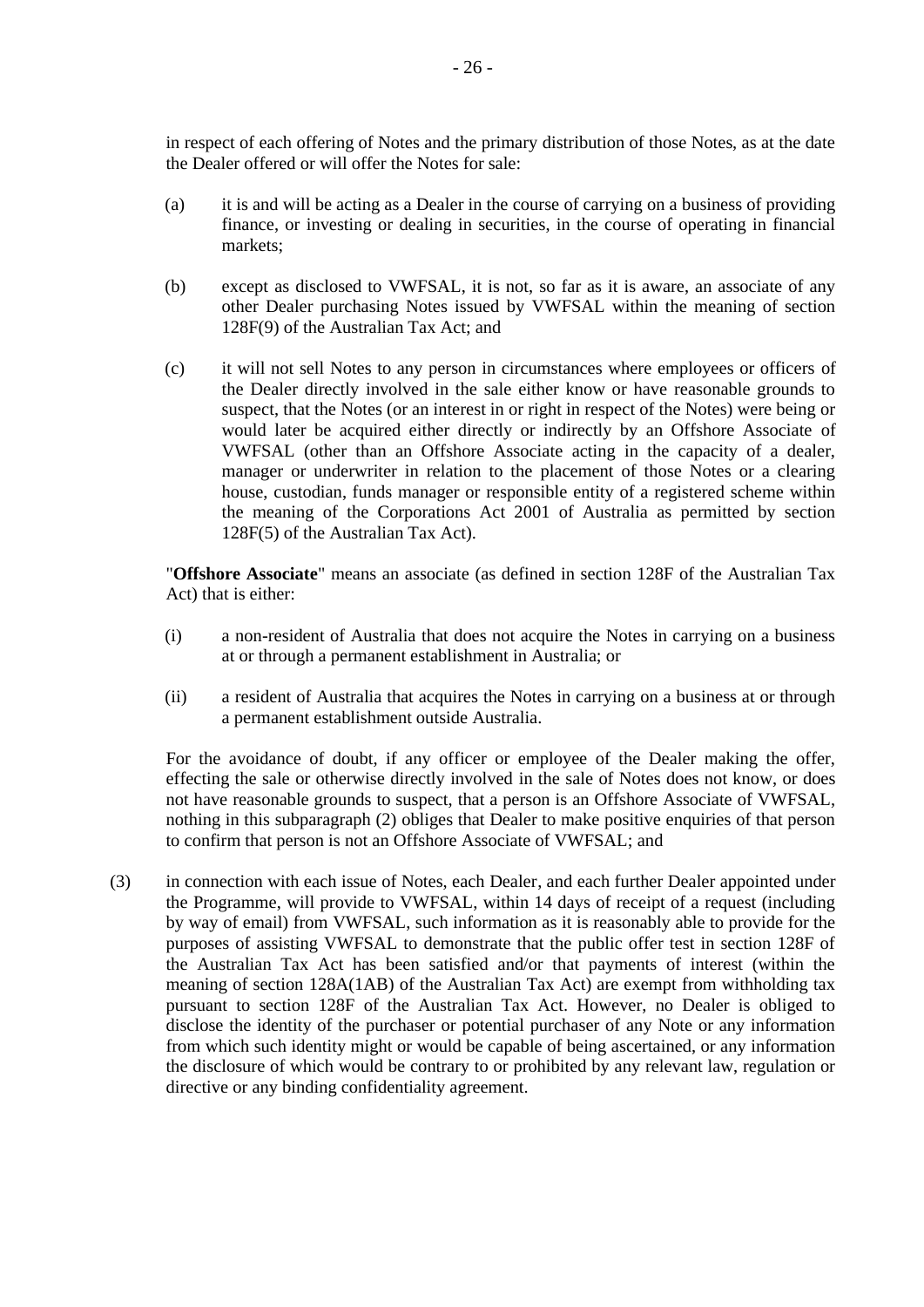in respect of each offering of Notes and the primary distribution of those Notes, as at the date the Dealer offered or will offer the Notes for sale:

- (a) it is and will be acting as a Dealer in the course of carrying on a business of providing finance, or investing or dealing in securities, in the course of operating in financial markets;
- (b) except as disclosed to VWFSAL, it is not, so far as it is aware, an associate of any other Dealer purchasing Notes issued by VWFSAL within the meaning of section 128F(9) of the Australian Tax Act; and
- (c) it will not sell Notes to any person in circumstances where employees or officers of the Dealer directly involved in the sale either know or have reasonable grounds to suspect, that the Notes (or an interest in or right in respect of the Notes) were being or would later be acquired either directly or indirectly by an Offshore Associate of VWFSAL (other than an Offshore Associate acting in the capacity of a dealer, manager or underwriter in relation to the placement of those Notes or a clearing house, custodian, funds manager or responsible entity of a registered scheme within the meaning of the Corporations Act 2001 of Australia as permitted by section 128F(5) of the Australian Tax Act).

"**Offshore Associate**" means an associate (as defined in section 128F of the Australian Tax Act) that is either:

- (i) a non-resident of Australia that does not acquire the Notes in carrying on a business at or through a permanent establishment in Australia; or
- (ii) a resident of Australia that acquires the Notes in carrying on a business at or through a permanent establishment outside Australia.

For the avoidance of doubt, if any officer or employee of the Dealer making the offer, effecting the sale or otherwise directly involved in the sale of Notes does not know, or does not have reasonable grounds to suspect, that a person is an Offshore Associate of VWFSAL, nothing in this subparagraph (2) obliges that Dealer to make positive enquiries of that person to confirm that person is not an Offshore Associate of VWFSAL; and

(3) in connection with each issue of Notes, each Dealer, and each further Dealer appointed under the Programme, will provide to VWFSAL, within 14 days of receipt of a request (including by way of email) from VWFSAL, such information as it is reasonably able to provide for the purposes of assisting VWFSAL to demonstrate that the public offer test in section 128F of the Australian Tax Act has been satisfied and/or that payments of interest (within the meaning of section 128A(1AB) of the Australian Tax Act) are exempt from withholding tax pursuant to section 128F of the Australian Tax Act. However, no Dealer is obliged to disclose the identity of the purchaser or potential purchaser of any Note or any information from which such identity might or would be capable of being ascertained, or any information the disclosure of which would be contrary to or prohibited by any relevant law, regulation or directive or any binding confidentiality agreement.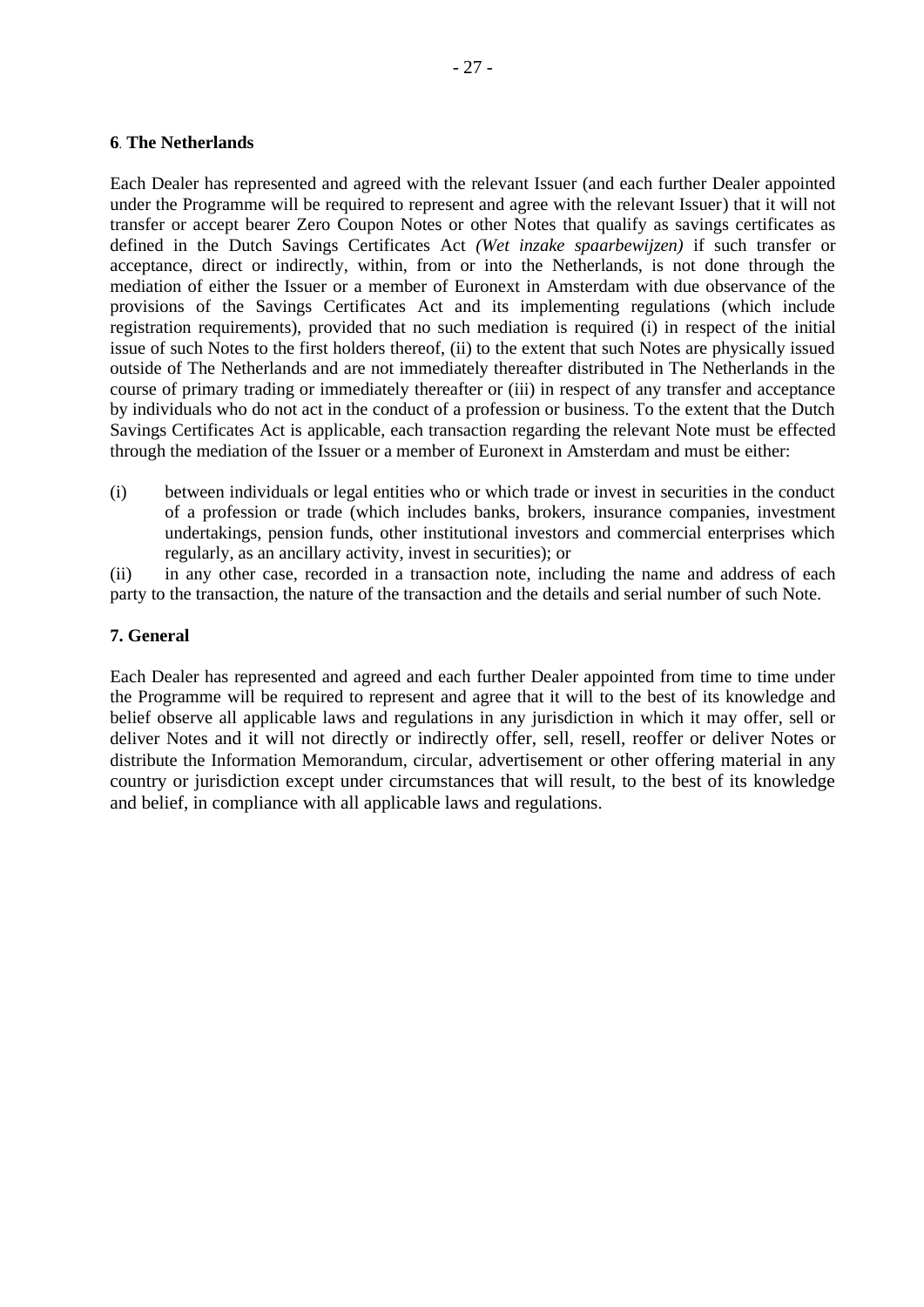### **6**. **The Netherlands**

Each Dealer has represented and agreed with the relevant Issuer (and each further Dealer appointed under the Programme will be required to represent and agree with the relevant Issuer) that it will not transfer or accept bearer Zero Coupon Notes or other Notes that qualify as savings certificates as defined in the Dutch Savings Certificates Act *(Wet inzake spaarbewijzen)* if such transfer or acceptance, direct or indirectly, within, from or into the Netherlands, is not done through the mediation of either the Issuer or a member of Euronext in Amsterdam with due observance of the provisions of the Savings Certificates Act and its implementing regulations (which include registration requirements), provided that no such mediation is required (i) in respect of the initial issue of such Notes to the first holders thereof, (ii) to the extent that such Notes are physically issued outside of The Netherlands and are not immediately thereafter distributed in The Netherlands in the course of primary trading or immediately thereafter or (iii) in respect of any transfer and acceptance by individuals who do not act in the conduct of a profession or business. To the extent that the Dutch Savings Certificates Act is applicable, each transaction regarding the relevant Note must be effected through the mediation of the Issuer or a member of Euronext in Amsterdam and must be either:

(i) between individuals or legal entities who or which trade or invest in securities in the conduct of a profession or trade (which includes banks, brokers, insurance companies, investment undertakings, pension funds, other institutional investors and commercial enterprises which regularly, as an ancillary activity, invest in securities); or

(ii) in any other case, recorded in a transaction note, including the name and address of each party to the transaction, the nature of the transaction and the details and serial number of such Note.

### **7. General**

Each Dealer has represented and agreed and each further Dealer appointed from time to time under the Programme will be required to represent and agree that it will to the best of its knowledge and belief observe all applicable laws and regulations in any jurisdiction in which it may offer, sell or deliver Notes and it will not directly or indirectly offer, sell, resell, reoffer or deliver Notes or distribute the Information Memorandum, circular, advertisement or other offering material in any country or jurisdiction except under circumstances that will result, to the best of its knowledge and belief, in compliance with all applicable laws and regulations.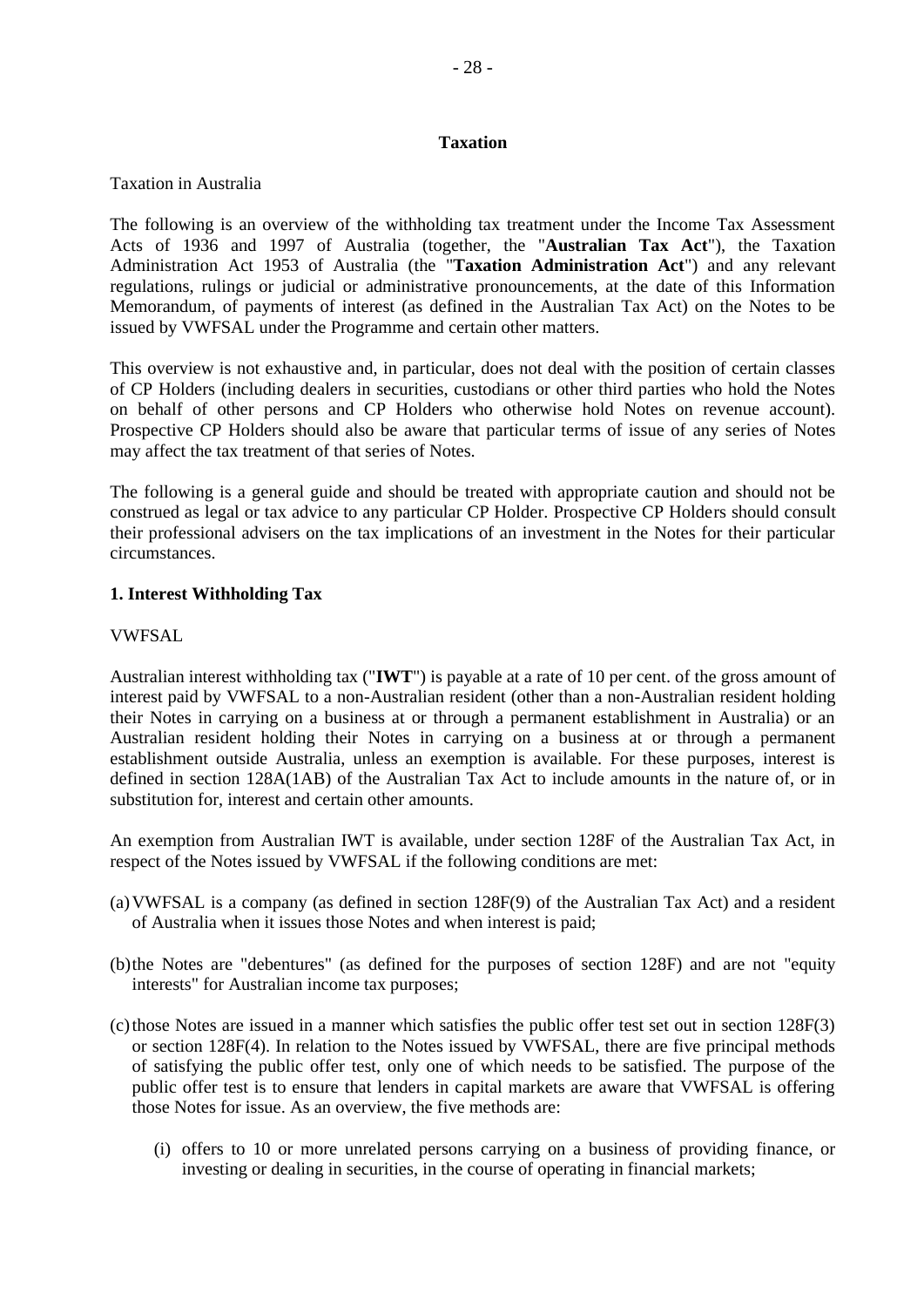### <span id="page-27-0"></span>**Taxation**

### Taxation in Australia

The following is an overview of the withholding tax treatment under the Income Tax Assessment Acts of 1936 and 1997 of Australia (together, the "**Australian Tax Act**"), the Taxation Administration Act 1953 of Australia (the "**Taxation Administration Act**") and any relevant regulations, rulings or judicial or administrative pronouncements, at the date of this Information Memorandum, of payments of interest (as defined in the Australian Tax Act) on the Notes to be issued by VWFSAL under the Programme and certain other matters.

This overview is not exhaustive and, in particular, does not deal with the position of certain classes of CP Holders (including dealers in securities, custodians or other third parties who hold the Notes on behalf of other persons and CP Holders who otherwise hold Notes on revenue account). Prospective CP Holders should also be aware that particular terms of issue of any series of Notes may affect the tax treatment of that series of Notes.

The following is a general guide and should be treated with appropriate caution and should not be construed as legal or tax advice to any particular CP Holder. Prospective CP Holders should consult their professional advisers on the tax implications of an investment in the Notes for their particular circumstances.

### **1. Interest Withholding Tax**

### VWFSAL

Australian interest withholding tax ("**IWT**") is payable at a rate of 10 per cent. of the gross amount of interest paid by VWFSAL to a non-Australian resident (other than a non-Australian resident holding their Notes in carrying on a business at or through a permanent establishment in Australia) or an Australian resident holding their Notes in carrying on a business at or through a permanent establishment outside Australia, unless an exemption is available. For these purposes, interest is defined in section 128A(1AB) of the Australian Tax Act to include amounts in the nature of, or in substitution for, interest and certain other amounts.

An exemption from Australian IWT is available, under section 128F of the Australian Tax Act, in respect of the Notes issued by VWFSAL if the following conditions are met:

- (a)VWFSAL is a company (as defined in section 128F(9) of the Australian Tax Act) and a resident of Australia when it issues those Notes and when interest is paid;
- (b)the Notes are "debentures" (as defined for the purposes of section 128F) and are not "equity interests" for Australian income tax purposes;
- $(c)$  those Notes are issued in a manner which satisfies the public offer test set out in section 128F(3) or section 128F(4). In relation to the Notes issued by VWFSAL, there are five principal methods of satisfying the public offer test, only one of which needs to be satisfied. The purpose of the public offer test is to ensure that lenders in capital markets are aware that VWFSAL is offering those Notes for issue. As an overview, the five methods are:
	- (i) offers to 10 or more unrelated persons carrying on a business of providing finance, or investing or dealing in securities, in the course of operating in financial markets;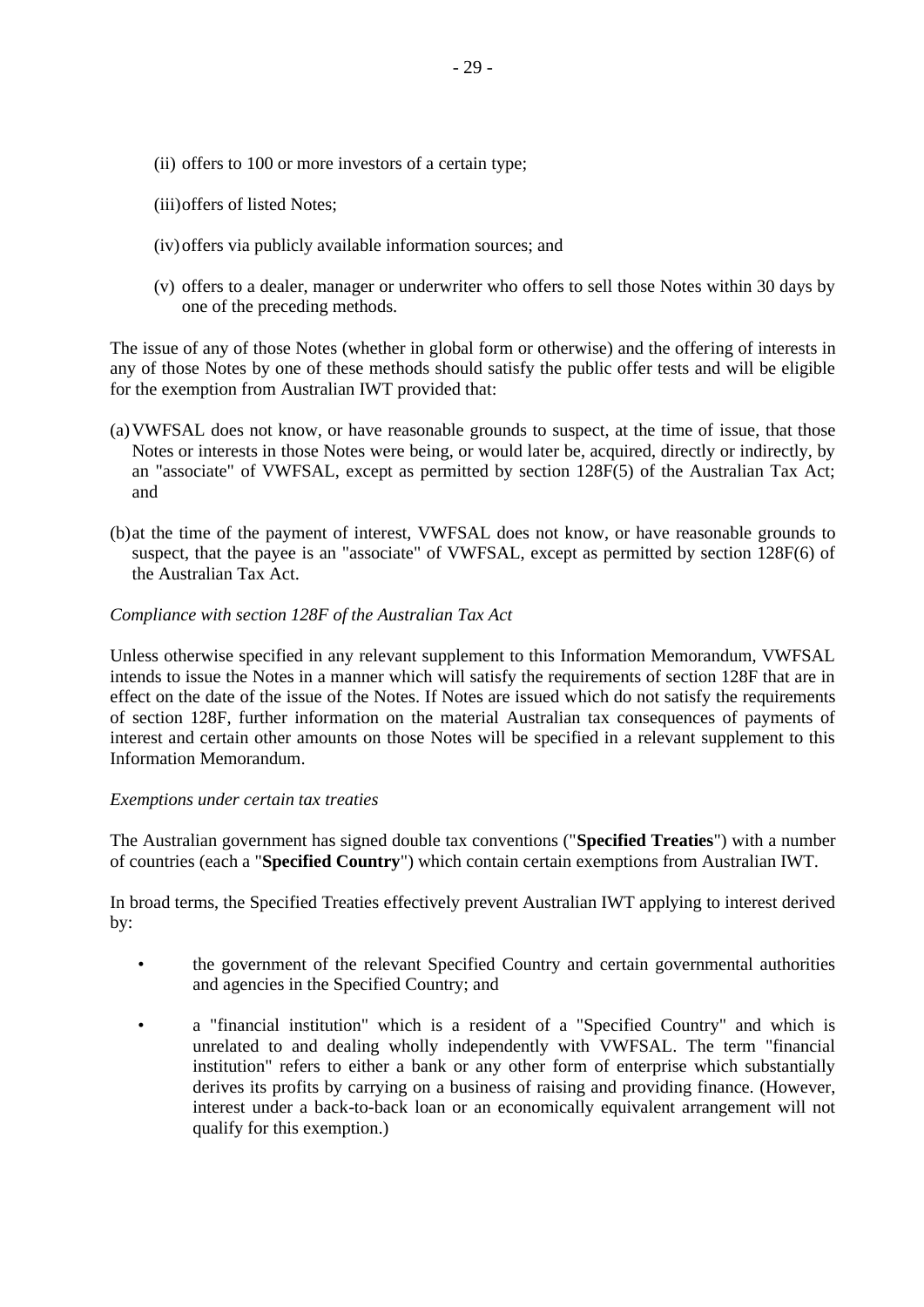- (ii) offers to 100 or more investors of a certain type;
- (iii)offers of listed Notes;
- (iv)offers via publicly available information sources; and
- (v) offers to a dealer, manager or underwriter who offers to sell those Notes within 30 days by one of the preceding methods.

The issue of any of those Notes (whether in global form or otherwise) and the offering of interests in any of those Notes by one of these methods should satisfy the public offer tests and will be eligible for the exemption from Australian IWT provided that:

- (a)VWFSAL does not know, or have reasonable grounds to suspect, at the time of issue, that those Notes or interests in those Notes were being, or would later be, acquired, directly or indirectly, by an "associate" of VWFSAL, except as permitted by section 128F(5) of the Australian Tax Act; and
- (b)at the time of the payment of interest, VWFSAL does not know, or have reasonable grounds to suspect, that the payee is an "associate" of VWFSAL, except as permitted by section 128F(6) of the Australian Tax Act.

### *Compliance with section 128F of the Australian Tax Act*

Unless otherwise specified in any relevant supplement to this Information Memorandum, VWFSAL intends to issue the Notes in a manner which will satisfy the requirements of section 128F that are in effect on the date of the issue of the Notes. If Notes are issued which do not satisfy the requirements of section 128F, further information on the material Australian tax consequences of payments of interest and certain other amounts on those Notes will be specified in a relevant supplement to this Information Memorandum.

### *Exemptions under certain tax treaties*

The Australian government has signed double tax conventions ("**Specified Treaties**") with a number of countries (each a "**Specified Country**") which contain certain exemptions from Australian IWT.

In broad terms, the Specified Treaties effectively prevent Australian IWT applying to interest derived by:

- the government of the relevant Specified Country and certain governmental authorities and agencies in the Specified Country; and
- a "financial institution" which is a resident of a "Specified Country" and which is unrelated to and dealing wholly independently with VWFSAL. The term "financial institution" refers to either a bank or any other form of enterprise which substantially derives its profits by carrying on a business of raising and providing finance. (However, interest under a back-to-back loan or an economically equivalent arrangement will not qualify for this exemption.)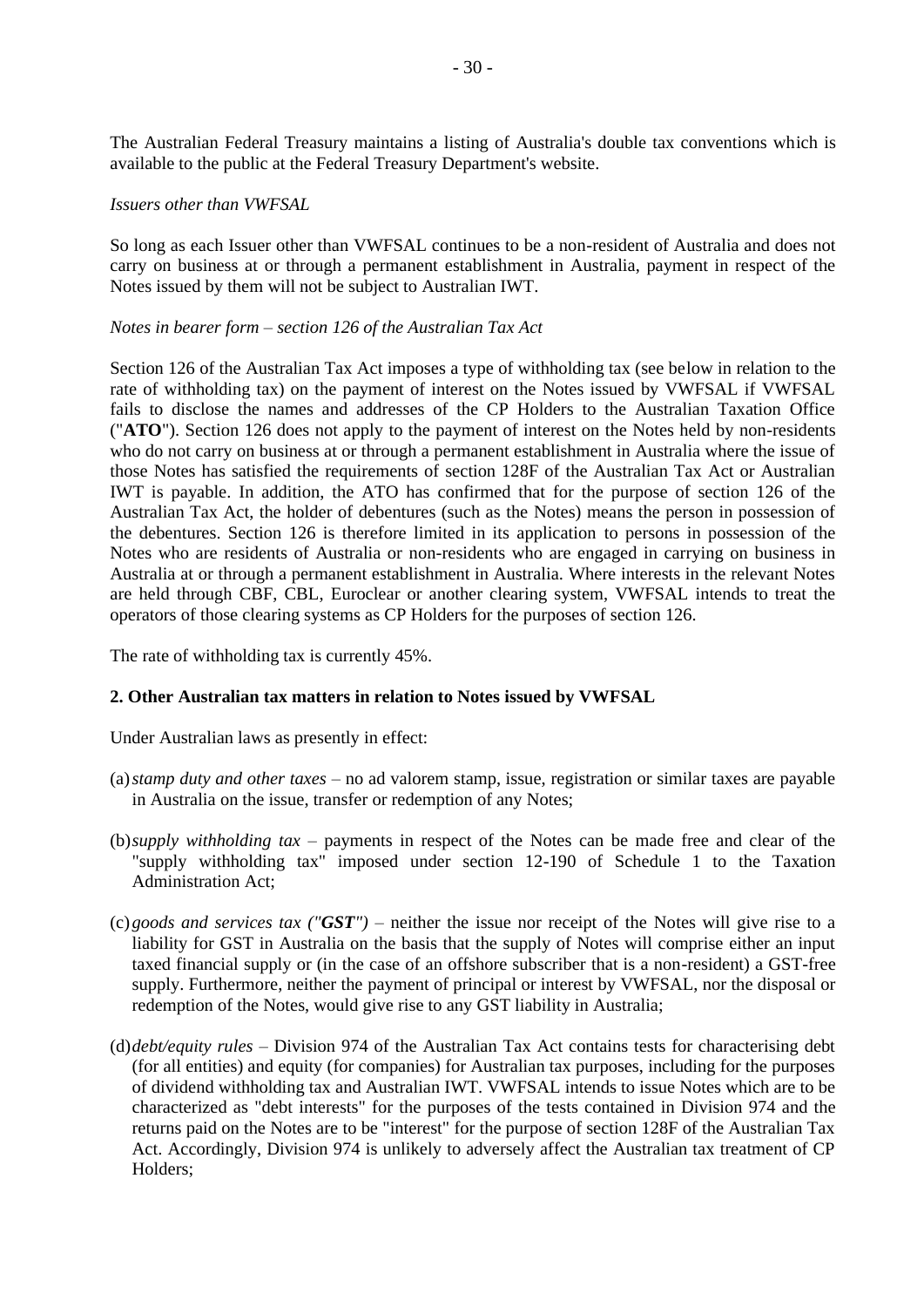The Australian Federal Treasury maintains a listing of Australia's double tax conventions which is available to the public at the Federal Treasury Department's website.

#### *Issuers other than VWFSAL*

So long as each Issuer other than VWFSAL continues to be a non-resident of Australia and does not carry on business at or through a permanent establishment in Australia, payment in respect of the Notes issued by them will not be subject to Australian IWT.

#### *Notes in bearer form – section 126 of the Australian Tax Act*

Section 126 of the Australian Tax Act imposes a type of withholding tax (see below in relation to the rate of withholding tax) on the payment of interest on the Notes issued by VWFSAL if VWFSAL fails to disclose the names and addresses of the CP Holders to the Australian Taxation Office ("**ATO**"). Section 126 does not apply to the payment of interest on the Notes held by non-residents who do not carry on business at or through a permanent establishment in Australia where the issue of those Notes has satisfied the requirements of section 128F of the Australian Tax Act or Australian IWT is payable. In addition, the ATO has confirmed that for the purpose of section 126 of the Australian Tax Act, the holder of debentures (such as the Notes) means the person in possession of the debentures. Section 126 is therefore limited in its application to persons in possession of the Notes who are residents of Australia or non-residents who are engaged in carrying on business in Australia at or through a permanent establishment in Australia. Where interests in the relevant Notes are held through CBF, CBL, Euroclear or another clearing system, VWFSAL intends to treat the operators of those clearing systems as CP Holders for the purposes of section 126.

The rate of withholding tax is currently 45%.

### **2. Other Australian tax matters in relation to Notes issued by VWFSAL**

Under Australian laws as presently in effect:

- (a)*stamp duty and other taxes* no ad valorem stamp, issue, registration or similar taxes are payable in Australia on the issue, transfer or redemption of any Notes;
- (b)*supply withholding tax* payments in respect of the Notes can be made free and clear of the "supply withholding tax" imposed under section 12-190 of Schedule 1 to the Taxation Administration Act;
- (c)*goods and services tax ("GST")* neither the issue nor receipt of the Notes will give rise to a liability for GST in Australia on the basis that the supply of Notes will comprise either an input taxed financial supply or (in the case of an offshore subscriber that is a non-resident) a GST-free supply. Furthermore, neither the payment of principal or interest by VWFSAL, nor the disposal or redemption of the Notes, would give rise to any GST liability in Australia;
- (d)*debt/equity rules* Division 974 of the Australian Tax Act contains tests for characterising debt (for all entities) and equity (for companies) for Australian tax purposes, including for the purposes of dividend withholding tax and Australian IWT. VWFSAL intends to issue Notes which are to be characterized as "debt interests" for the purposes of the tests contained in Division 974 and the returns paid on the Notes are to be "interest" for the purpose of section 128F of the Australian Tax Act. Accordingly, Division 974 is unlikely to adversely affect the Australian tax treatment of CP Holders;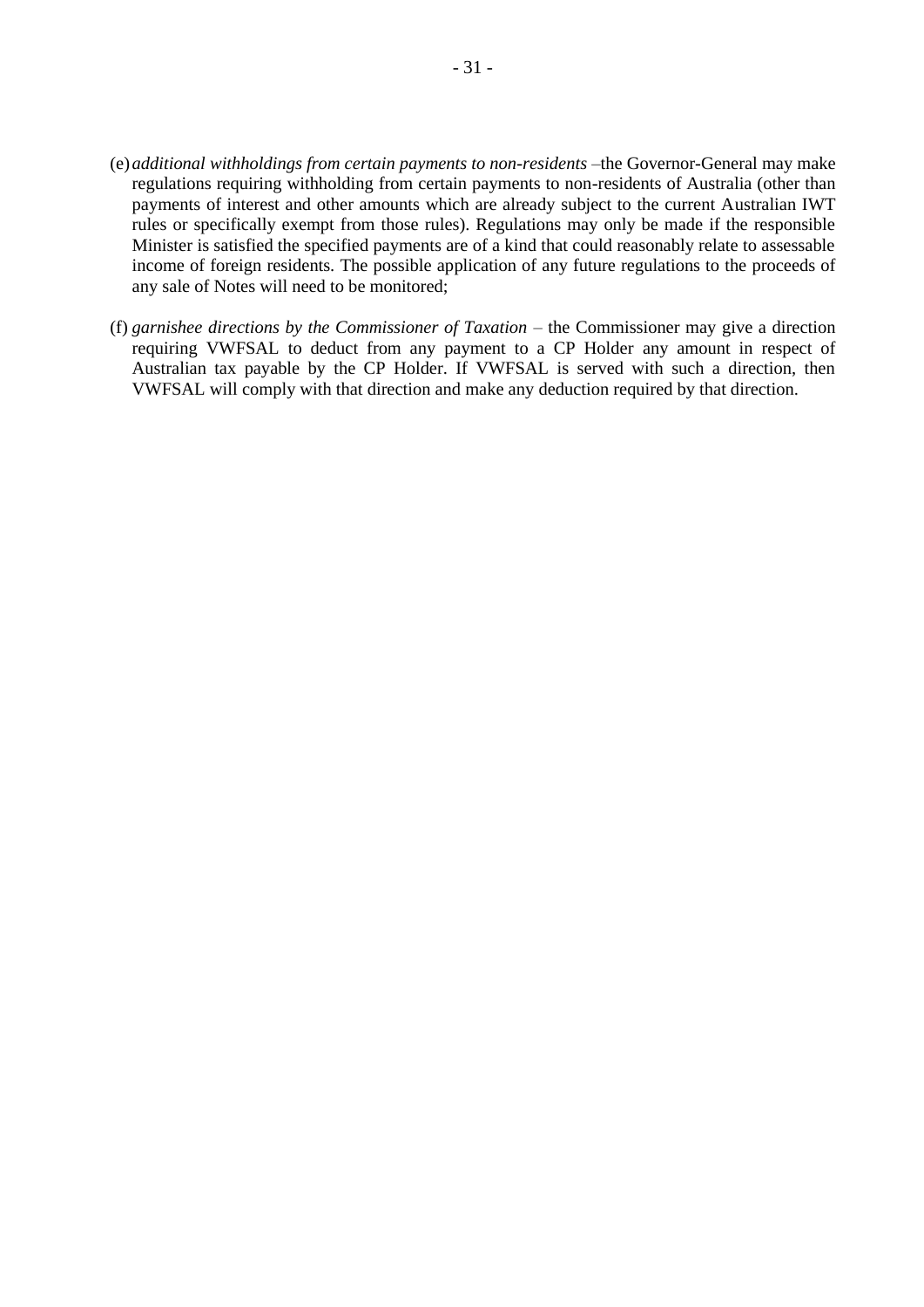- (e)*additional withholdings from certain payments to non-residents* –the Governor-General may make regulations requiring withholding from certain payments to non-residents of Australia (other than payments of interest and other amounts which are already subject to the current Australian IWT rules or specifically exempt from those rules). Regulations may only be made if the responsible Minister is satisfied the specified payments are of a kind that could reasonably relate to assessable income of foreign residents. The possible application of any future regulations to the proceeds of any sale of Notes will need to be monitored;
- (f) *garnishee directions by the Commissioner of Taxation* the Commissioner may give a direction requiring VWFSAL to deduct from any payment to a CP Holder any amount in respect of Australian tax payable by the CP Holder. If VWFSAL is served with such a direction, then VWFSAL will comply with that direction and make any deduction required by that direction.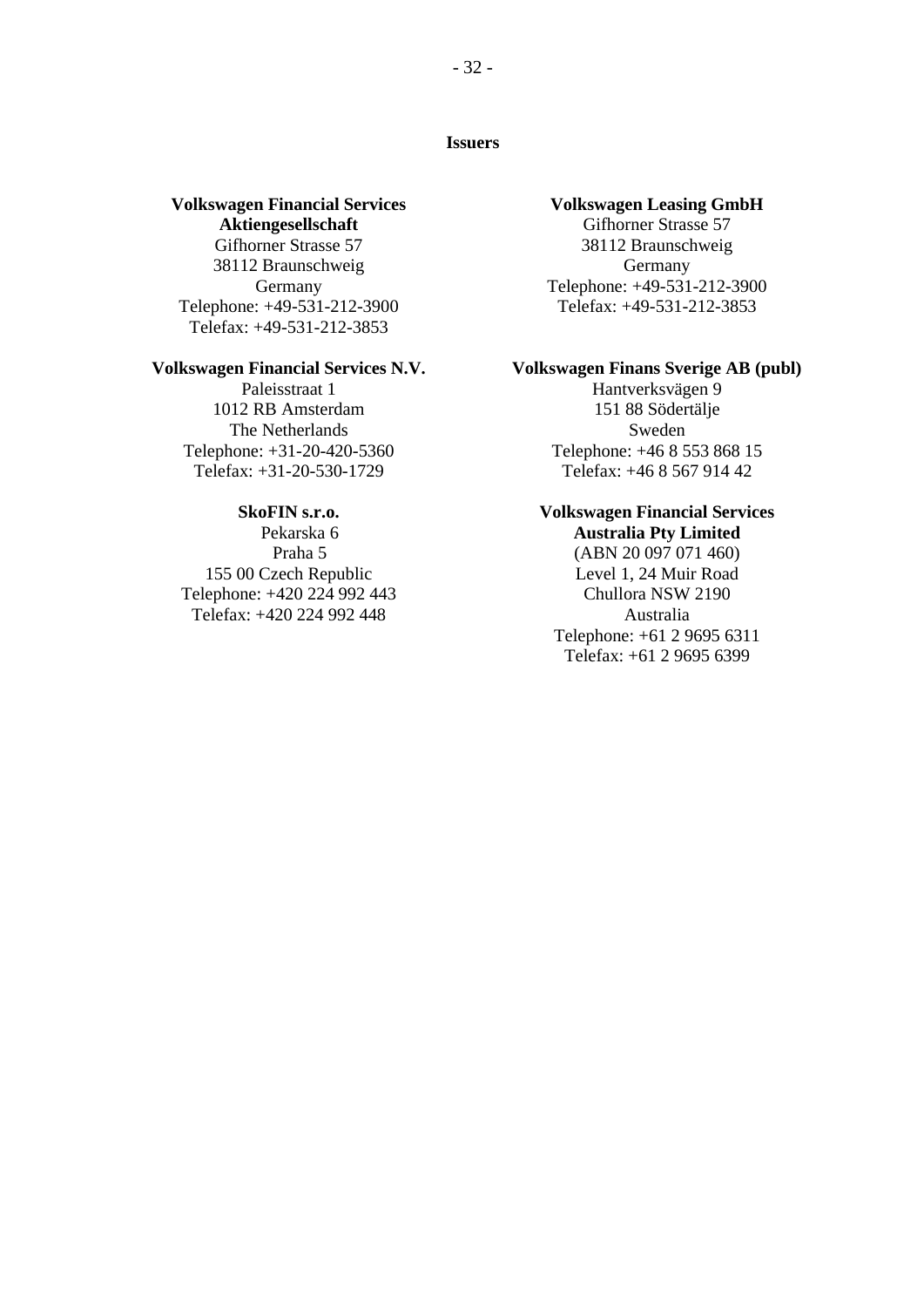### <span id="page-31-0"></span>**Issuers**

### **Volkswagen Financial Services Aktiengesellschaft**

Gifhorner Strasse 57 38112 Braunschweig Germany Telephone: +49-531-212-3900 Telefax: +49-531-212-3853

### **Volkswagen Financial Services N.V.**

Paleisstraat 1 1012 RB Amsterdam The Netherlands Telephone: +31-20-420-5360 Telefax: +31-20-530-1729

### **SkoFIN s.r.o.**

Pekarska 6 Praha 5 155 00 Czech Republic Telephone: +420 224 992 443 Telefax: +420 224 992 448

### **Volkswagen Leasing GmbH**

Gifhorner Strasse 57 38112 Braunschweig Germany Telephone: +49-531-212-3900 Telefax: +49-531-212-3853

### **Volkswagen Finans Sverige AB (publ)**

Hantverksvägen 9 151 88 Södertälje Sweden Telephone: +46 8 553 868 15 Telefax: +46 8 567 914 42

### **Volkswagen Financial Services**

**Australia Pty Limited** (ABN 20 097 071 460) Level 1, 24 Muir Road Chullora NSW 2190 Australia Telephone: +61 2 9695 6311 Telefax: +61 2 9695 6399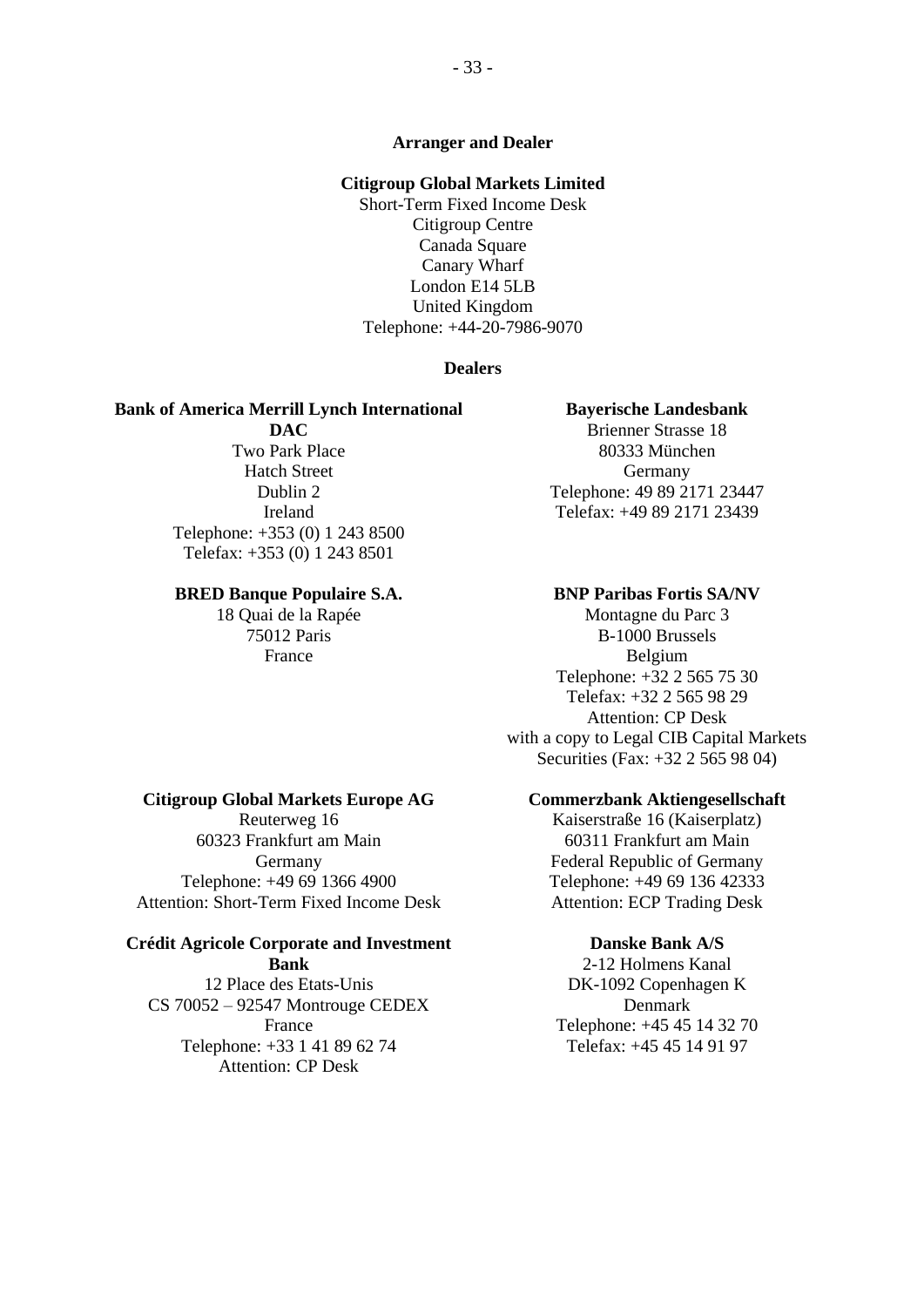### **Arranger and Dealer**

### **Citigroup Global Markets Limited**

Short-Term Fixed Income Desk Citigroup Centre Canada Square Canary Wharf London E14 5LB United Kingdom Telephone: +44-20-7986-9070

### **Dealers**

#### **Bank of America Merrill Lynch International**

**DAC** Two Park Place Hatch Street Dublin 2 Ireland Telephone: +353 (0) 1 243 8500 Telefax: +353 (0) 1 243 8501

#### **BRED Banque Populaire S.A.**

18 Quai de la Rapée 75012 Paris France

### **Bayerische Landesbank**

Brienner Strasse 18 80333 München Germany Telephone: 49 89 2171 23447 Telefax: +49 89 2171 23439

#### **BNP Paribas Fortis SA/NV**

Montagne du Parc 3 B-1000 Brussels Belgium Telephone: +32 2 565 75 30 Telefax: +32 2 565 98 29 Attention: CP Desk with a copy to Legal CIB Capital Markets Securities (Fax: +32 2 565 98 04)

### **Commerzbank Aktiengesellschaft**

Kaiserstraße 16 (Kaiserplatz) 60311 Frankfurt am Main Federal Republic of Germany Telephone: +49 69 136 42333 Attention: ECP Trading Desk

### **Danske Bank A/S**

2-12 Holmens Kanal DK-1092 Copenhagen K Denmark Telephone: +45 45 14 32 70 Telefax: +45 45 14 91 97

#### **Citigroup Global Markets Europe AG**

Reuterweg 16 60323 Frankfurt am Main Germany Telephone: +49 69 1366 4900 Attention: Short-Term Fixed Income Desk

#### **Crédit Agricole Corporate and Investment Bank**

12 Place des Etats-Unis CS 70052 – 92547 Montrouge CEDEX France Telephone: +33 1 41 89 62 74 Attention: CP Desk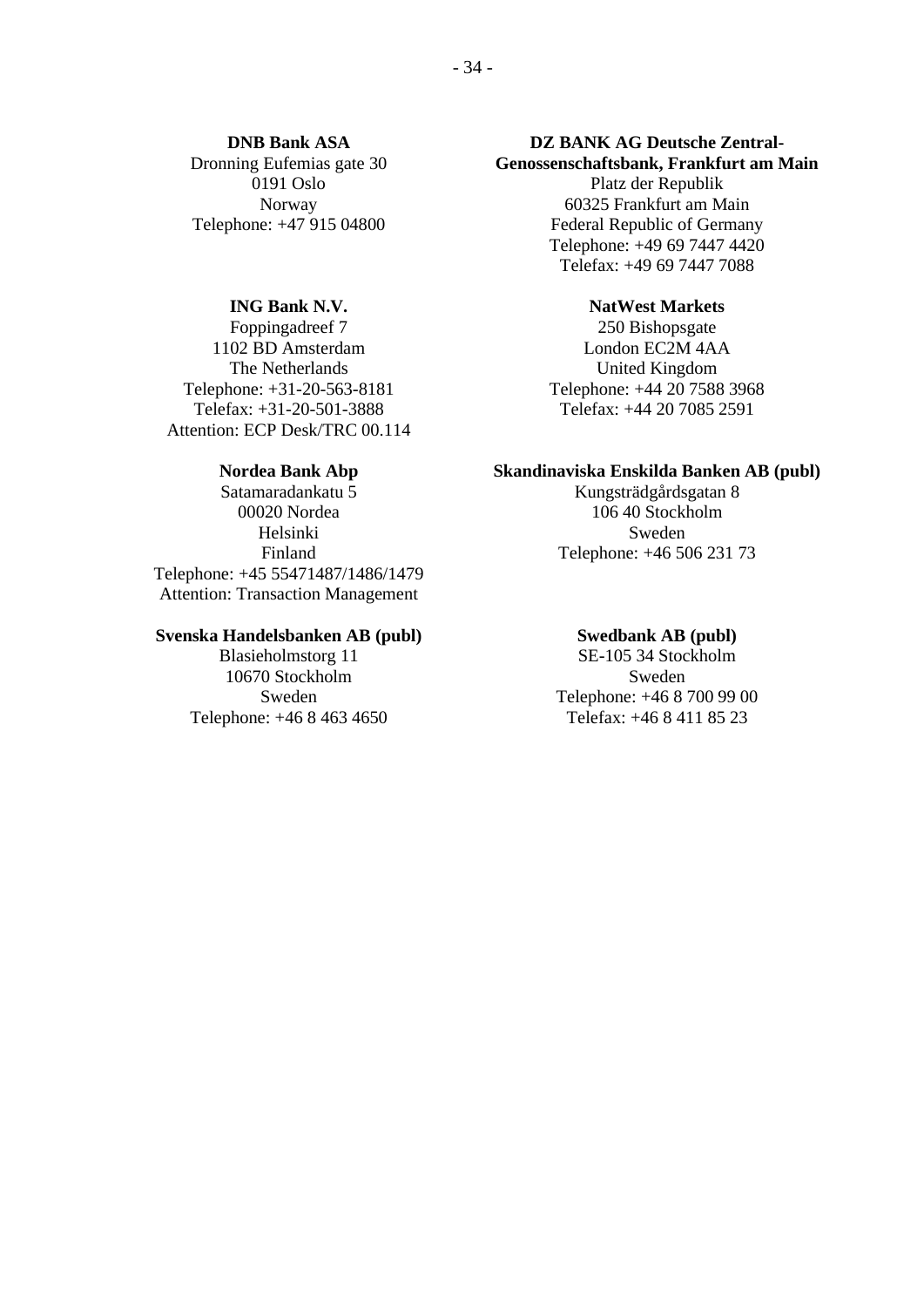**DNB Bank ASA** Dronning Eufemias gate 30 0191 Oslo Norway Telephone: +47 915 04800

### **ING Bank N.V.**

Foppingadreef 7 1102 BD Amsterdam The Netherlands Telephone: +31-20-563-8181 Telefax: +31-20-501-3888 Attention: ECP Desk/TRC 00.114

### **Nordea Bank Abp**

Satamaradankatu 5 00020 Nordea Helsinki Finland Telephone: +45 55471487/1486/1479 Attention: Transaction Management

### **Svenska Handelsbanken AB (publ)**

Blasieholmstorg 11 10670 Stockholm Sweden Telephone: +46 8 463 4650

### **DZ BANK AG Deutsche Zentral-Genossenschaftsbank, Frankfurt am Main**

Platz der Republik 60325 Frankfurt am Main Federal Republic of Germany Telephone: +49 69 7447 4420 Telefax: +49 69 7447 7088

#### **NatWest Markets**

250 Bishopsgate London EC2M 4AA United Kingdom Telephone: +44 20 7588 3968 Telefax: +44 20 7085 2591

### **Skandinaviska Enskilda Banken AB (publ)**

Kungsträdgårdsgatan 8 106 40 Stockholm Sweden Telephone: +46 506 231 73

#### **Swedbank AB (publ)**

SE-105 34 Stockholm Sweden Telephone: +46 8 700 99 00 Telefax: +46 8 411 85 23